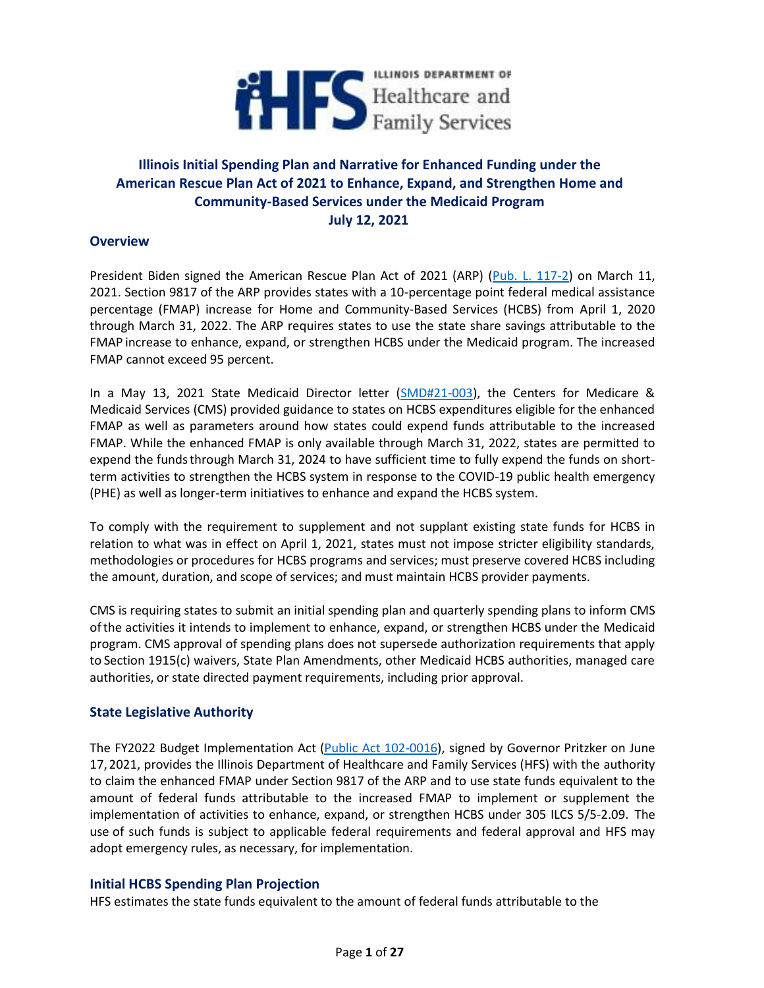

# **Illinois Initial Spending Plan and Narrative for Enhanced Funding under the American Rescue Plan Act of 2021 to Enhance, Expand, and Strengthen Home and Community-Based Services under the Medicaid Program July 12, 2021**

## **Overview**

President Biden signed the American Rescue Plan Act of 2021 (ARP) (Pub. L. 117-2) on March 11, 2021. Section 9817 of the ARP provides states with a 10-percentage point federal medical assistance percentage (FMAP) increase for Home and Community-Based Services (HCBS) from April 1, 2020 through March 31, 2022. The ARP requires states to use the state share savings attributable to the FMAP increase to enhance, expand, or strengthen HCBS under the Medicaid program. The increased FMAP cannot exceed 95 percent.

In a May 13, 2021 State Medicaid Director letter (SMD#21-003), the Centers for Medicare & Medicaid Services (CMS) provided guidance to states on HCBS expenditures eligible for the enhanced FMAP as well as parameters around how states could expend funds attributable to the increased FMAP. While the enhanced FMAP is only available through March 31, 2022, states are permitted to expend the fundsthrough March 31, 2024 to have sufficient time to fully expend the funds on shortterm activities to strengthen the HCBS system in response to the COVID-19 public health emergency (PHE) as well as longer-term initiatives to enhance and expand the HCBS system.

To comply with the requirement to supplement and not supplant existing state funds for HCBS in relation to what was in effect on April 1, 2021, states must not impose stricter eligibility standards, methodologies or procedures for HCBS programs and services; must preserve covered HCBS including the amount, duration, and scope of services; and must maintain HCBS provider payments.

CMS is requiring states to submit an initial spending plan and quarterly spending plans to inform CMS ofthe activities it intends to implement to enhance, expand, or strengthen HCBS under the Medicaid program. CMS approval of spending plans does not supersede authorization requirements that apply to Section 1915(c) waivers, State Plan Amendments, other Medicaid HCBS authorities, managed care authorities, or state directed payment requirements, including prior approval.

## **State Legislative Authority**

The FY2022 Budget Implementation Act (Public Act 102-0016), signed by Governor Pritzker on June 17, 2021, provides the Illinois Department of Healthcare and Family Services (HFS) with the authority to claim the enhanced FMAP under Section 9817 of the ARP and to use state funds equivalent to the amount of federal funds attributable to the increased FMAP to implement or supplement the implementation of activities to enhance, expand, or strengthen HCBS under 305 ILCS 5/5-2.09. The use of such funds is subject to applicable federal requirements and federal approval and HFS may adopt emergency rules, as necessary, for implementation.

### **Initial HCBS Spending Plan Projection**

HFS estimates the state funds equivalent to the amount of federal funds attributable to the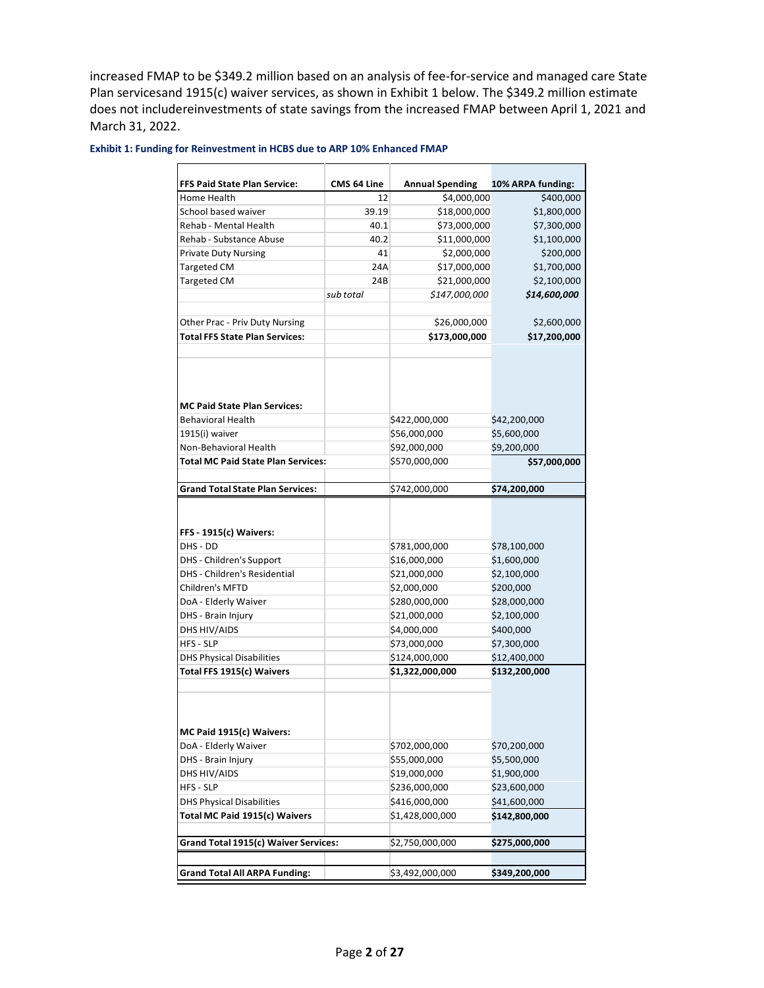increased FMAP to be \$349.2 million based on an analysis of fee-for-service and managed care State Plan servicesand 1915(c) waiver services, as shown in Exhibit 1 below. The \$349.2 million estimate does not includereinvestments of state savings from the increased FMAP between April 1, 2021 and March 31, 2022.

| <b>FFS Paid State Plan Service:</b>       | CMS 64 Line | <b>Annual Spending</b> | 10% ARPA funding: |
|-------------------------------------------|-------------|------------------------|-------------------|
| Home Health                               | 12          | \$4,000,000            | \$400,000         |
| School based waiver                       | 39.19       | \$18,000,000           | \$1,800,000       |
| Rehab - Mental Health                     | 40.1        | \$73,000,000           | \$7,300,000       |
| Rehab - Substance Abuse                   | 40.2        | \$11,000,000           | \$1,100,000       |
| <b>Private Duty Nursing</b>               | 41          | \$2,000,000            | \$200,000         |
| <b>Targeted CM</b>                        | 24A         | \$17,000,000           | \$1,700,000       |
| <b>Targeted CM</b>                        | 24B         | \$21,000,000           | \$2,100,000       |
|                                           | sub total   | \$147,000,000          | \$14,600,000      |
|                                           |             |                        |                   |
| Other Prac - Priv Duty Nursing            |             | \$26,000,000           | \$2,600,000       |
| <b>Total FFS State Plan Services:</b>     |             | \$173,000,000          | \$17,200,000      |
|                                           |             |                        |                   |
| <b>MC Paid State Plan Services:</b>       |             |                        |                   |
| <b>Behavioral Health</b>                  |             | \$422,000,000          | \$42,200,000      |
| 1915(i) waiver                            |             | \$56,000,000           | \$5,600,000       |
| Non-Behavioral Health                     |             | \$92,000,000           | \$9,200,000       |
| <b>Total MC Paid State Plan Services:</b> |             | \$570,000,000          | \$57,000,000      |
| <b>Grand Total State Plan Services:</b>   |             | \$742,000,000          | \$74,200,000      |
|                                           |             |                        |                   |
| FFS - 1915(c) Waivers:<br>DHS - DD        |             | \$781,000,000          | \$78,100,000      |
| DHS - Children's Support                  |             | \$16,000,000           | \$1,600,000       |
| <b>DHS</b> - Children's Residential       |             | \$21,000,000           | \$2,100,000       |
| <b>Children's MFTD</b>                    |             | \$2,000,000            | \$200,000         |
| DoA - Elderly Waiver                      |             | \$280,000,000          | \$28,000,000      |
| DHS - Brain Injury                        |             | \$21,000,000           | \$2,100,000       |
| DHS HIV/AIDS                              |             | \$4,000,000            | \$400,000         |
| <b>HFS - SLP</b>                          |             | \$73,000,000           | \$7,300,000       |
| <b>DHS Physical Disabilities</b>          |             | \$124,000,000          | \$12,400,000      |
| Total FFS 1915(c) Waivers                 |             | \$1,322,000,000        | \$132,200,000     |
| MC Paid 1915(c) Waivers:                  |             |                        |                   |
| DoA - Elderly Waiver                      |             | \$702,000,000          | \$70,200,000      |
| DHS - Brain Injury                        |             | \$55,000,000           | \$5,500,000       |
| DHS HIV/AIDS                              |             | \$19,000,000           | \$1,900,000       |
| HFS - SLP                                 |             | \$236,000,000          | \$23,600,000      |
| <b>DHS Physical Disabilities</b>          |             | \$416,000,000          | \$41,600,000      |
| Total MC Paid 1915(c) Waivers             |             | \$1,428,000,000        | \$142,800,000     |
|                                           |             |                        |                   |
| Grand Total 1915(c) Waiver Services:      |             | \$2,750,000,000        | \$275,000,000     |
|                                           |             |                        |                   |
| <b>Grand Total All ARPA Funding:</b>      |             | \$3,492,000,000        | \$349,200,000     |

#### **Exhibit 1: Funding for Reinvestment in HCBS due to ARP 10% Enhanced FMAP**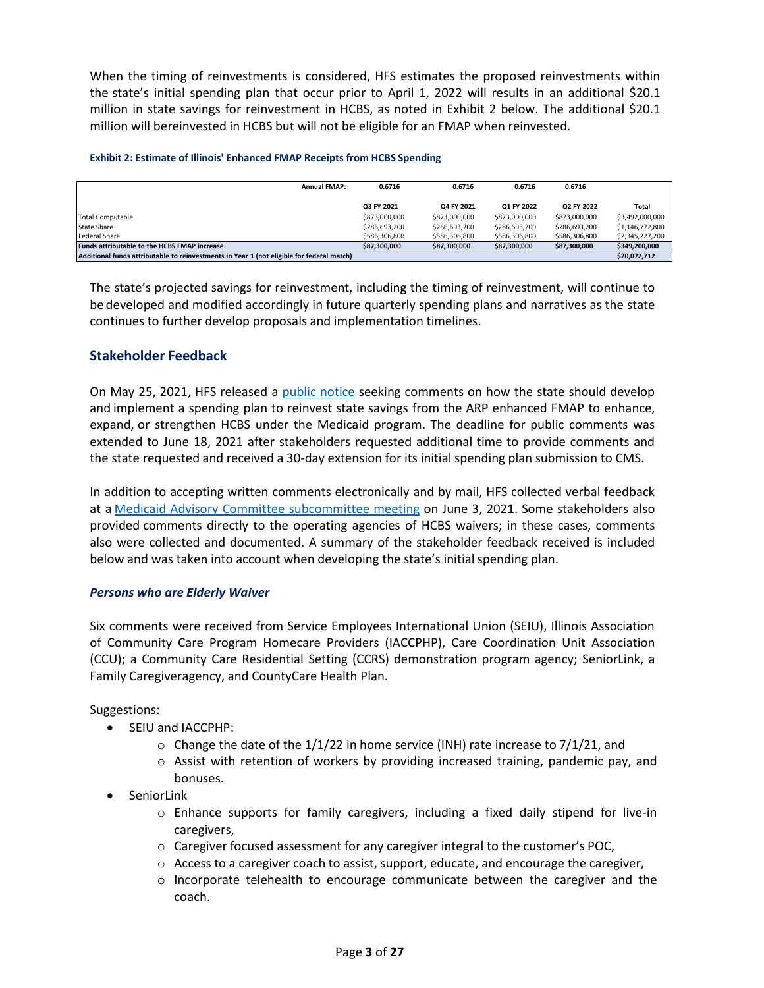When the timing of reinvestments is considered, HFS estimates the proposed reinvestments within the state's initial spending plan that occur prior to April 1, 2022 will results in an additional \$20.1 million in state savings for reinvestment in HCBS, as noted in Exhibit 2 below. The additional \$20.1 million will bereinvested in HCBS but will not be eligible for an FMAP when reinvested.

#### **Exhibit 2: Estimate of Illinois' Enhanced FMAP Receipts from HCBS Spending**

| <b>Annual FMAP:</b>                                                                       | 0.6716        | 0.6716        | 0.6716            | 0.6716        |                 |
|-------------------------------------------------------------------------------------------|---------------|---------------|-------------------|---------------|-----------------|
|                                                                                           | Q3 FY 2021    | Q4 FY 2021    | <b>Q1 FY 2022</b> | Q2 FY 2022    | Total           |
| <b>Total Computable</b>                                                                   | \$873,000,000 | \$873,000,000 | \$873,000,000     | \$873,000,000 | \$3,492,000,000 |
| State Share                                                                               | \$286,693,200 | \$286,693,200 | \$286,693,200     | \$286,693,200 | \$1,146,772,800 |
| <b>Federal Share</b>                                                                      | \$586,306,800 | \$586,306,800 | \$586,306,800     | \$586,306,800 | \$2,345,227,200 |
| <b>Funds attributable to the HCBS FMAP increase</b>                                       | \$87.300.000  | \$87.300.000  | \$87.300.000      | \$87,300,000  | \$349,200,000   |
| Additional funds attributable to reinvestments in Year 1 (not eligible for federal match) |               |               |                   |               | \$20,072,712    |

The state's projected savings for reinvestment, including the timing of reinvestment, will continue to be developed and modified accordingly in future quarterly spending plans and narratives as the state continues to further develop proposals and implementation timelines.

## **Stakeholder Feedback**

On May 25, 2021, HFS released a public notice seeking comments on how the state should develop and implement a spending plan to reinvest state savings from the ARP enhanced FMAP to enhance, expand, or strengthen HCBS under the Medicaid program. The deadline for public comments was extended to June 18, 2021 after stakeholders requested additional time to provide comments and the state requested and received a 30-day extension for its initial spending plan submission to CMS.

In addition to accepting written comments electronically and by mail, HFS collected verbal feedback at a Medicaid Advisory Committee subcommittee meeting on June 3, 2021. Some stakeholders also provided comments directly to the operating agencies of HCBS waivers; in these cases, comments also were collected and documented. A summary of the stakeholder feedback received is included below and was taken into account when developing the state's initial spending plan.

### *Persons who are Elderly Waiver*

Six comments were received from Service Employees International Union (SEIU), Illinois Association of Community Care Program Homecare Providers (IACCPHP), Care Coordination Unit Association (CCU); a Community Care Residential Setting (CCRS) demonstration program agency; SeniorLink, a Family Caregiveragency, and CountyCare Health Plan.

- SEIU and IACCPHP:
	- $\circ$  Change the date of the 1/1/22 in home service (INH) rate increase to 7/1/21, and
	- $\circ$  Assist with retention of workers by providing increased training, pandemic pay, and bonuses.
- SeniorLink
	- o Enhance supports for family caregivers, including a fixed daily stipend for live-in caregivers,
	- $\circ$  Caregiver focused assessment for any caregiver integral to the customer's POC,
	- $\circ$  Access to a caregiver coach to assist, support, educate, and encourage the caregiver,
	- o Incorporate telehealth to encourage communicate between the caregiver and the coach.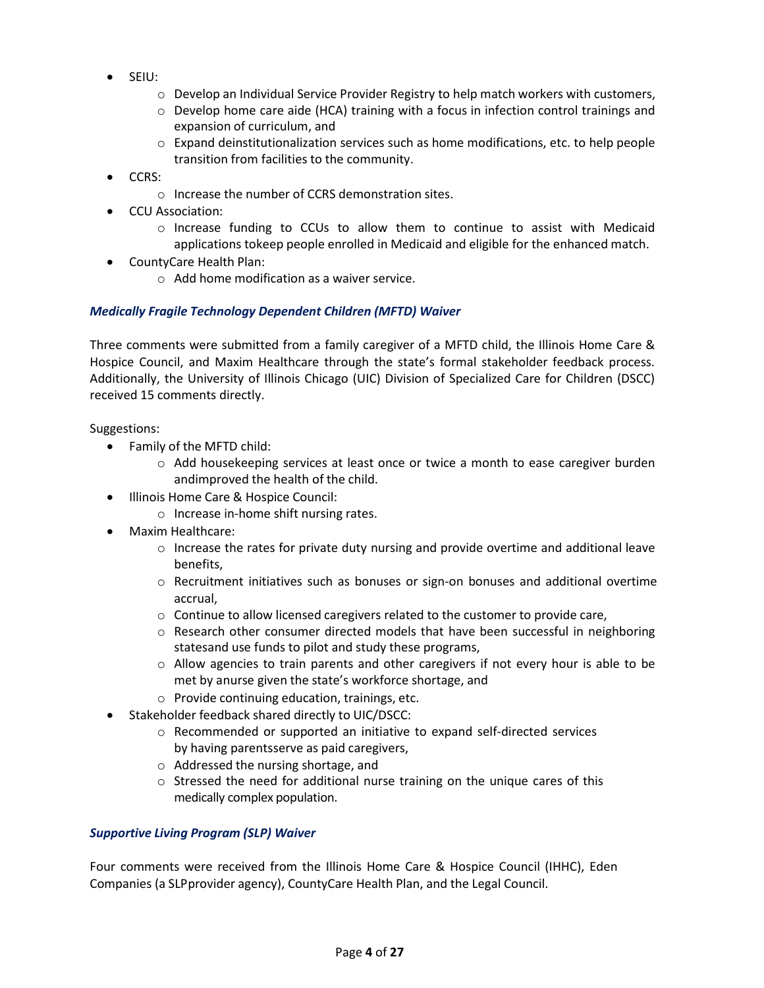- SEIU:
	- o Develop an Individual Service Provider Registry to help match workers with customers,
	- $\circ$  Develop home care aide (HCA) training with a focus in infection control trainings and expansion of curriculum, and
	- $\circ$  Expand deinstitutionalization services such as home modifications, etc. to help people transition from facilities to the community.
- CCRS:
	- o Increase the number of CCRS demonstration sites.
- CCU Association:
	- o Increase funding to CCUs to allow them to continue to assist with Medicaid applications tokeep people enrolled in Medicaid and eligible for the enhanced match.
- CountyCare Health Plan:
	- o Add home modification as a waiver service.

## *Medically Fragile Technology Dependent Children (MFTD) Waiver*

Three comments were submitted from a family caregiver of a MFTD child, the Illinois Home Care & Hospice Council, and Maxim Healthcare through the state's formal stakeholder feedback process. Additionally, the University of Illinois Chicago (UIC) Division of Specialized Care for Children (DSCC) received 15 comments directly.

Suggestions:

- Family of the MFTD child:
	- o Add housekeeping services at least once or twice a month to ease caregiver burden andimproved the health of the child.
- Illinois Home Care & Hospice Council:
	- o Increase in-home shift nursing rates.
- Maxim Healthcare:
	- $\circ$  Increase the rates for private duty nursing and provide overtime and additional leave benefits,
	- $\circ$  Recruitment initiatives such as bonuses or sign-on bonuses and additional overtime accrual,
	- $\circ$  Continue to allow licensed caregivers related to the customer to provide care,
	- $\circ$  Research other consumer directed models that have been successful in neighboring statesand use funds to pilot and study these programs,
	- $\circ$  Allow agencies to train parents and other caregivers if not every hour is able to be met by anurse given the state's workforce shortage, and
	- o Provide continuing education, trainings, etc.
- Stakeholder feedback shared directly to UIC/DSCC:
	- o Recommended or supported an initiative to expand self-directed services by having parentsserve as paid caregivers,
	- o Addressed the nursing shortage, and
	- o Stressed the need for additional nurse training on the unique cares of this medically complex population.

## *Supportive Living Program (SLP) Waiver*

Four comments were received from the Illinois Home Care & Hospice Council (IHHC), Eden Companies (a SLPprovider agency), CountyCare Health Plan, and the Legal Council.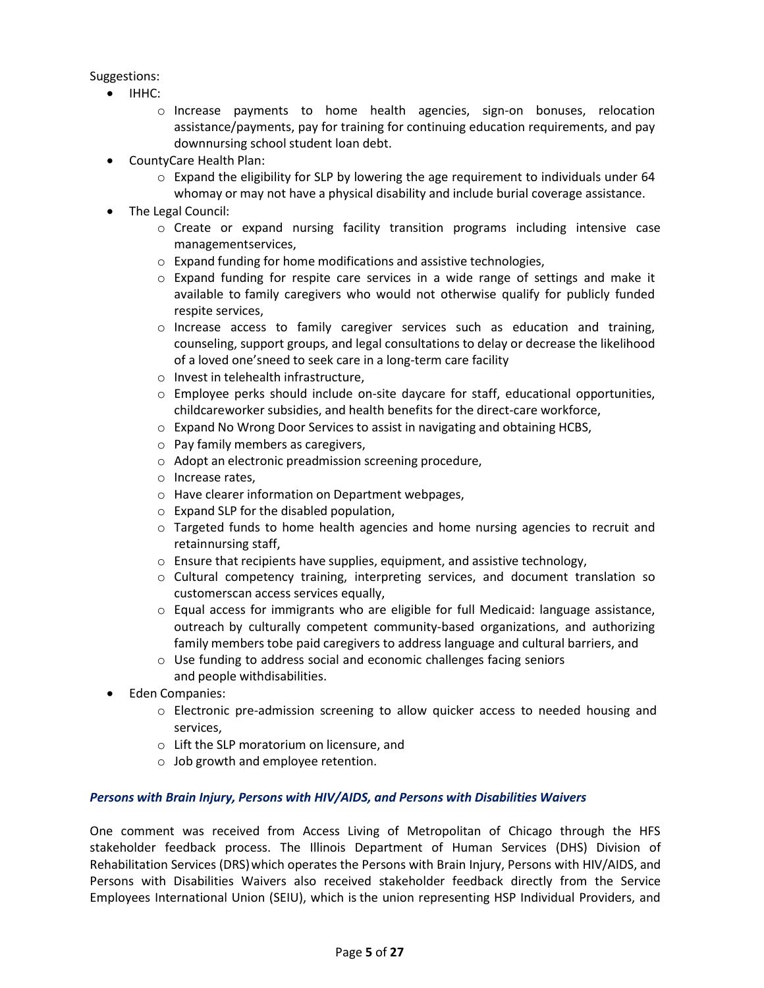## Suggestions:

- IHHC:
	- o Increase payments to home health agencies, sign-on bonuses, relocation assistance/payments, pay for training for continuing education requirements, and pay downnursing school student loan debt.
- CountyCare Health Plan:
	- $\circ$  Expand the eligibility for SLP by lowering the age requirement to individuals under 64 whomay or may not have a physical disability and include burial coverage assistance.
- The Legal Council:
	- o Create or expand nursing facility transition programs including intensive case managementservices,
	- o Expand funding for home modifications and assistive technologies,
	- $\circ$  Expand funding for respite care services in a wide range of settings and make it available to family caregivers who would not otherwise qualify for publicly funded respite services,
	- o Increase access to family caregiver services such as education and training, counseling, support groups, and legal consultations to delay or decrease the likelihood of a loved one'sneed to seek care in a long-term care facility
	- o Invest in telehealth infrastructure,
	- $\circ$  Employee perks should include on-site daycare for staff, educational opportunities, childcareworker subsidies, and health benefits for the direct-care workforce,
	- $\circ$  Expand No Wrong Door Services to assist in navigating and obtaining HCBS,
	- o Pay family members as caregivers,
	- o Adopt an electronic preadmission screening procedure,
	- o Increase rates,
	- o Have clearer information on Department webpages,
	- o Expand SLP for the disabled population,
	- $\circ$  Targeted funds to home health agencies and home nursing agencies to recruit and retainnursing staff,
	- o Ensure that recipients have supplies, equipment, and assistive technology,
	- o Cultural competency training, interpreting services, and document translation so customerscan access services equally,
	- o Equal access for immigrants who are eligible for full Medicaid: language assistance, outreach by culturally competent community-based organizations, and authorizing family members tobe paid caregivers to address language and cultural barriers, and
	- o Use funding to address social and economic challenges facing seniors and people withdisabilities.
- Eden Companies:
	- $\circ$  Electronic pre-admission screening to allow quicker access to needed housing and services,
	- o Lift the SLP moratorium on licensure, and
	- o Job growth and employee retention.

## *Persons with Brain Injury, Persons with HIV/AIDS, and Persons with Disabilities Waivers*

One comment was received from Access Living of Metropolitan of Chicago through the HFS stakeholder feedback process. The Illinois Department of Human Services (DHS) Division of Rehabilitation Services (DRS)which operates the Persons with Brain Injury, Persons with HIV/AIDS, and Persons with Disabilities Waivers also received stakeholder feedback directly from the Service Employees International Union (SEIU), which is the union representing HSP Individual Providers, and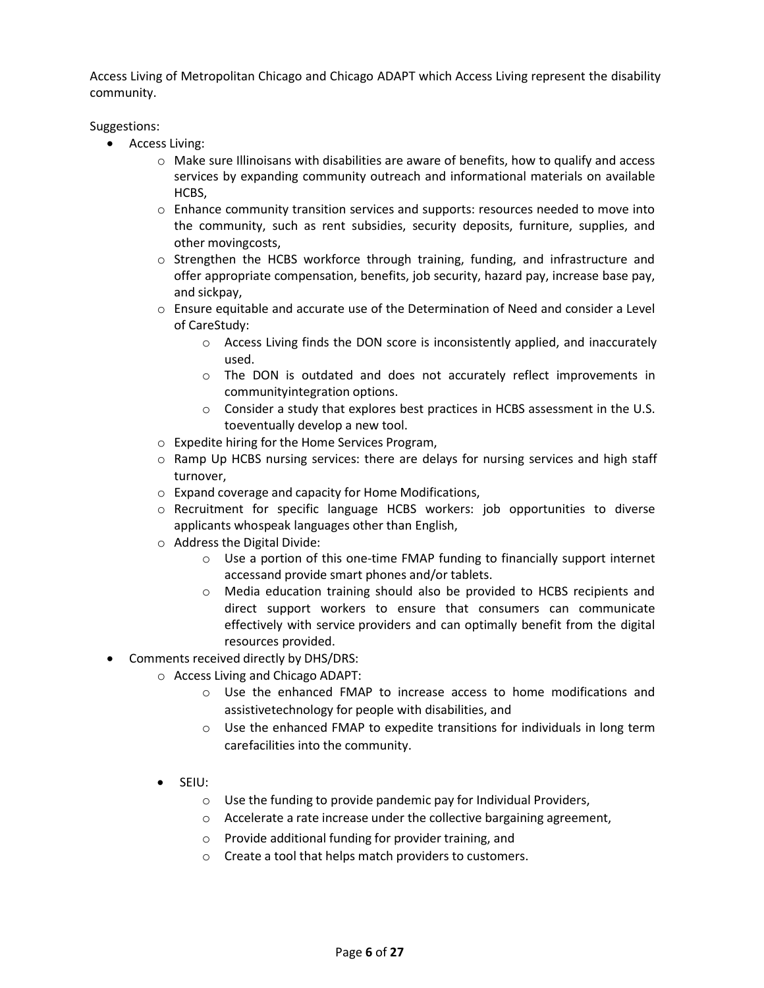Access Living of Metropolitan Chicago and Chicago ADAPT which Access Living represent the disability community.

- Access Living:
	- $\circ$  Make sure Illinoisans with disabilities are aware of benefits, how to qualify and access services by expanding community outreach and informational materials on available HCBS,
	- o Enhance community transition services and supports: resources needed to move into the community, such as rent subsidies, security deposits, furniture, supplies, and other movingcosts,
	- o Strengthen the HCBS workforce through training, funding, and infrastructure and offer appropriate compensation, benefits, job security, hazard pay, increase base pay, and sickpay,
	- o Ensure equitable and accurate use of the Determination of Need and consider a Level of CareStudy:
		- o Access Living finds the DON score is inconsistently applied, and inaccurately used.
		- o The DON is outdated and does not accurately reflect improvements in communityintegration options.
		- o Consider a study that explores best practices in HCBS assessment in the U.S. toeventually develop a new tool.
	- o Expedite hiring for the Home Services Program,
	- o Ramp Up HCBS nursing services: there are delays for nursing services and high staff turnover,
	- o Expand coverage and capacity for Home Modifications,
	- o Recruitment for specific language HCBS workers: job opportunities to diverse applicants whospeak languages other than English,
	- o Address the Digital Divide:
		- o Use a portion of this one-time FMAP funding to financially support internet accessand provide smart phones and/or tablets.
		- o Media education training should also be provided to HCBS recipients and direct support workers to ensure that consumers can communicate effectively with service providers and can optimally benefit from the digital resources provided.
- Comments received directly by DHS/DRS:
	- o Access Living and Chicago ADAPT:
		- o Use the enhanced FMAP to increase access to home modifications and assistivetechnology for people with disabilities, and
		- o Use the enhanced FMAP to expedite transitions for individuals in long term carefacilities into the community.
		- SEIU:
			- o Use the funding to provide pandemic pay for Individual Providers,
			- o Accelerate a rate increase under the collective bargaining agreement,
			- o Provide additional funding for provider training, and
			- o Create a tool that helps match providers to customers.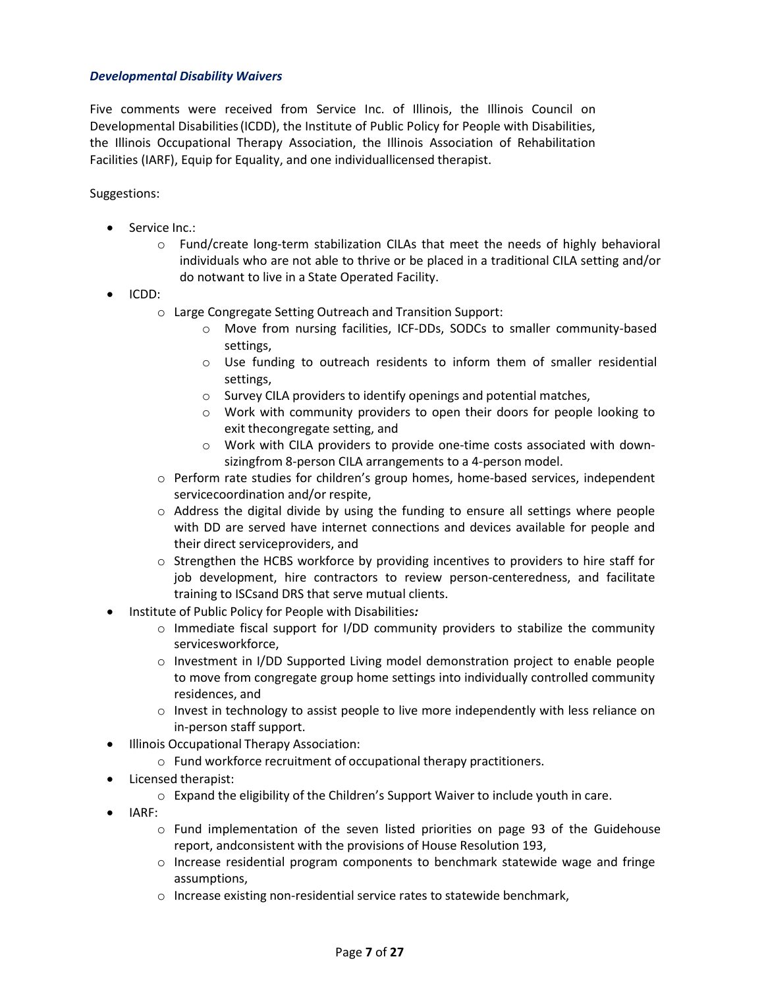## *Developmental Disability Waivers*

Five comments were received from Service Inc. of Illinois, the Illinois Council on Developmental Disabilities(ICDD), the Institute of Public Policy for People with Disabilities, the Illinois Occupational Therapy Association, the Illinois Association of Rehabilitation Facilities (IARF), Equip for Equality, and one individuallicensed therapist.

- Service Inc.:
	- o Fund/create long-term stabilization CILAs that meet the needs of highly behavioral individuals who are not able to thrive or be placed in a traditional CILA setting and/or do notwant to live in a State Operated Facility.
- ICDD:
	- o Large Congregate Setting Outreach and Transition Support:
		- o Move from nursing facilities, ICF-DDs, SODCs to smaller community-based settings,
		- o Use funding to outreach residents to inform them of smaller residential settings,
		- o Survey CILA providers to identify openings and potential matches,
		- o Work with community providers to open their doors for people looking to exit thecongregate setting, and
		- o Work with CILA providers to provide one-time costs associated with downsizingfrom 8-person CILA arrangements to a 4-person model.
	- o Perform rate studies for children's group homes, home-based services, independent servicecoordination and/or respite,
	- o Address the digital divide by using the funding to ensure all settings where people with DD are served have internet connections and devices available for people and their direct serviceproviders, and
	- $\circ$  Strengthen the HCBS workforce by providing incentives to providers to hire staff for job development, hire contractors to review person-centeredness, and facilitate training to ISCsand DRS that serve mutual clients.
- Institute of Public Policy for People with Disabilities*:*
	- o Immediate fiscal support for I/DD community providers to stabilize the community servicesworkforce,
	- $\circ$  Investment in I/DD Supported Living model demonstration project to enable people to move from congregate group home settings into individually controlled community residences, and
	- $\circ$  Invest in technology to assist people to live more independently with less reliance on in-person staff support.
- Illinois Occupational Therapy Association:
	- o Fund workforce recruitment of occupational therapy practitioners.
- Licensed therapist:
	- $\circ$  Expand the eligibility of the Children's Support Waiver to include youth in care.
- IARF:
	- o Fund implementation of the seven listed priorities on page 93 of the Guidehouse report, andconsistent with the provisions of House Resolution 193,
	- o Increase residential program components to benchmark statewide wage and fringe assumptions,
	- $\circ$  Increase existing non-residential service rates to statewide benchmark,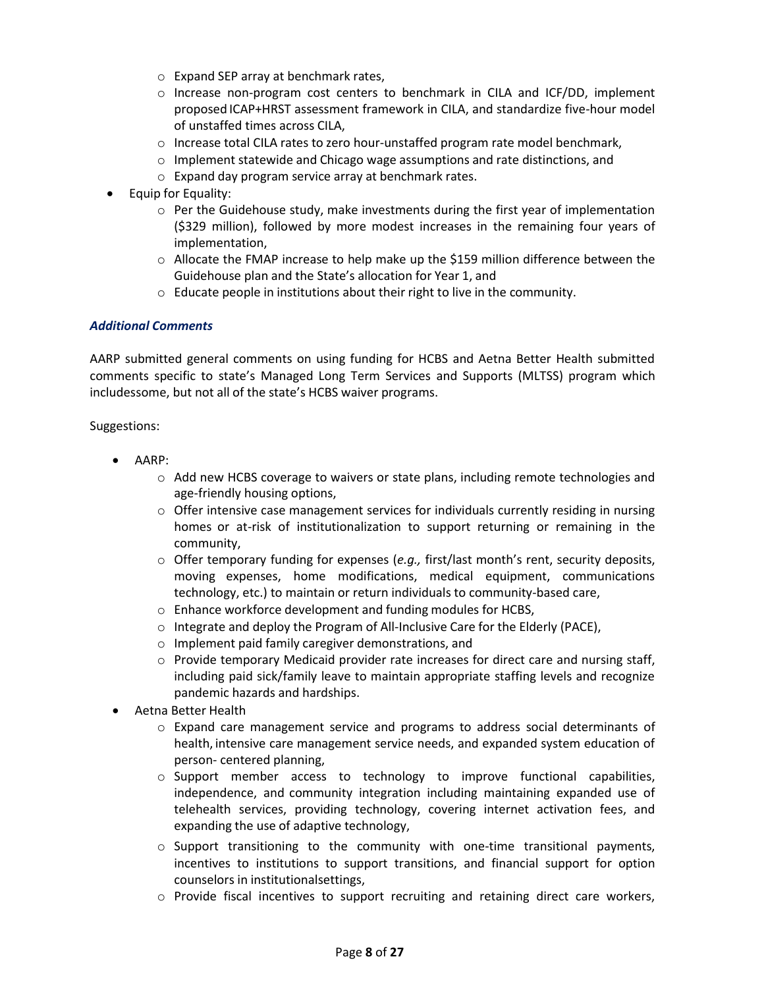- o Expand SEP array at benchmark rates,
- o Increase non-program cost centers to benchmark in CILA and ICF/DD, implement proposed ICAP+HRST assessment framework in CILA, and standardize five-hour model of unstaffed times across CILA,
- o Increase total CILA rates to zero hour-unstaffed program rate model benchmark,
- $\circ$  Implement statewide and Chicago wage assumptions and rate distinctions, and
- o Expand day program service array at benchmark rates.
- Equip for Equality:
	- $\circ$  Per the Guidehouse study, make investments during the first year of implementation (\$329 million), followed by more modest increases in the remaining four years of implementation,
	- $\circ$  Allocate the FMAP increase to help make up the \$159 million difference between the Guidehouse plan and the State's allocation for Year 1, and
	- o Educate people in institutions about their right to live in the community.

## *Additional Comments*

AARP submitted general comments on using funding for HCBS and Aetna Better Health submitted comments specific to state's Managed Long Term Services and Supports (MLTSS) program which includessome, but not all of the state's HCBS waiver programs.

- AARP:
	- o Add new HCBS coverage to waivers or state plans, including remote technologies and age-friendly housing options,
	- $\circ$  Offer intensive case management services for individuals currently residing in nursing homes or at-risk of institutionalization to support returning or remaining in the community,
	- o Offer temporary funding for expenses (*e.g.,* first/last month's rent, security deposits, moving expenses, home modifications, medical equipment, communications technology, etc.) to maintain or return individuals to community-based care,
	- o Enhance workforce development and funding modules for HCBS,
	- $\circ$  Integrate and deploy the Program of All-Inclusive Care for the Elderly (PACE),
	- o Implement paid family caregiver demonstrations, and
	- $\circ$  Provide temporary Medicaid provider rate increases for direct care and nursing staff, including paid sick/family leave to maintain appropriate staffing levels and recognize pandemic hazards and hardships.
- Aetna Better Health
	- o Expand care management service and programs to address social determinants of health, intensive care management service needs, and expanded system education of person- centered planning,
	- o Support member access to technology to improve functional capabilities, independence, and community integration including maintaining expanded use of telehealth services, providing technology, covering internet activation fees, and expanding the use of adaptive technology,
	- $\circ$  Support transitioning to the community with one-time transitional payments, incentives to institutions to support transitions, and financial support for option counselors in institutionalsettings,
	- o Provide fiscal incentives to support recruiting and retaining direct care workers,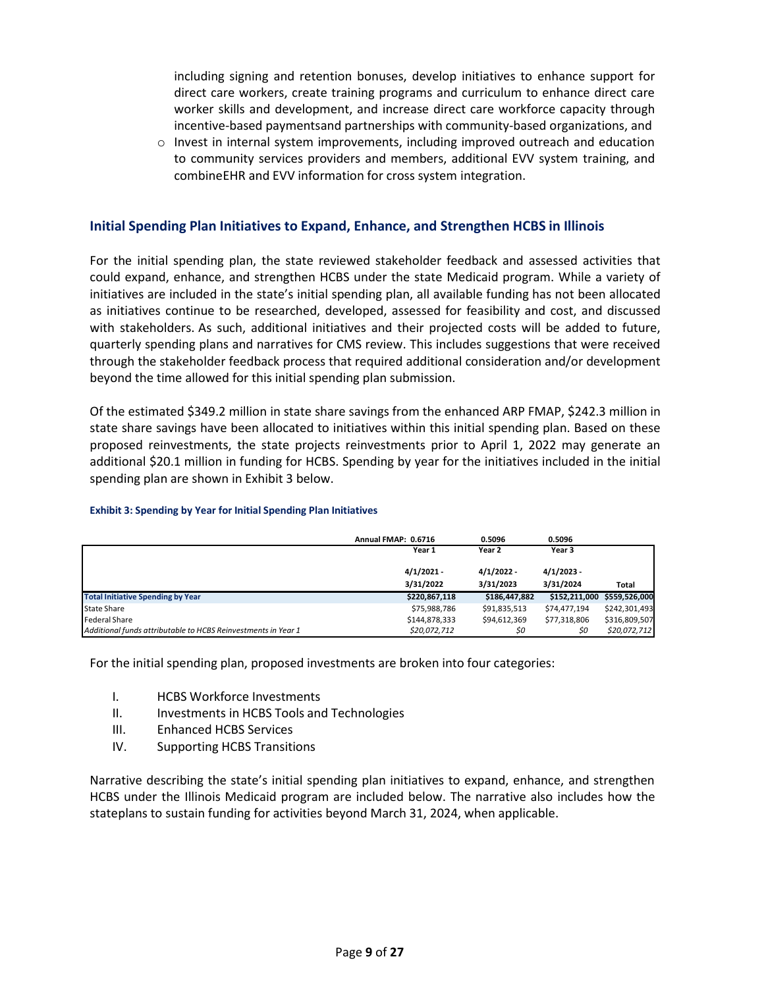including signing and retention bonuses, develop initiatives to enhance support for direct care workers, create training programs and curriculum to enhance direct care worker skills and development, and increase direct care workforce capacity through incentive-based paymentsand partnerships with community-based organizations, and

o Invest in internal system improvements, including improved outreach and education to community services providers and members, additional EVV system training, and combineEHR and EVV information for cross system integration.

## **Initial Spending Plan Initiatives to Expand, Enhance, and Strengthen HCBS in Illinois**

For the initial spending plan, the state reviewed stakeholder feedback and assessed activities that could expand, enhance, and strengthen HCBS under the state Medicaid program. While a variety of initiatives are included in the state's initial spending plan, all available funding has not been allocated as initiatives continue to be researched, developed, assessed for feasibility and cost, and discussed with stakeholders. As such, additional initiatives and their projected costs will be added to future, quarterly spending plans and narratives for CMS review. This includes suggestions that were received through the stakeholder feedback process that required additional consideration and/or development beyond the time allowed for this initial spending plan submission.

Of the estimated \$349.2 million in state share savings from the enhanced ARP FMAP, \$242.3 million in state share savings have been allocated to initiatives within this initial spending plan. Based on these proposed reinvestments, the state projects reinvestments prior to April 1, 2022 may generate an additional \$20.1 million in funding for HCBS. Spending by year for the initiatives included in the initial spending plan are shown in Exhibit 3 below.

|                                                               | Annual FMAP: 0.6716 | 0.5096        | 0.5096       |                             |
|---------------------------------------------------------------|---------------------|---------------|--------------|-----------------------------|
|                                                               | Year 1              | Year 2        | Year 3       |                             |
|                                                               | $4/1/2021 -$        | $4/1/2022 -$  | $4/1/2023 -$ |                             |
|                                                               | 3/31/2022           | 3/31/2023     | 3/31/2024    | Total                       |
| <b>Total Initiative Spending by Year</b>                      | \$220,867,118       | \$186,447,882 |              | \$152,211,000 \$559,526,000 |
| <b>State Share</b>                                            | \$75,988,786        | \$91,835,513  | \$74,477,194 | \$242,301,493               |
| <b>Federal Share</b>                                          | \$144,878,333       | \$94,612,369  | \$77,318,806 | \$316,809,507               |
| Additional funds attributable to HCBS Reinvestments in Year 1 | \$20,072,712        | 50            | 50           | \$20,072,712                |

#### **Exhibit 3: Spending by Year for Initial Spending Plan Initiatives**

For the initial spending plan, proposed investments are broken into four categories:

- I. HCBS Workforce Investments
- II. Investments in HCBS Tools and Technologies
- III. Enhanced HCBS Services
- IV. Supporting HCBS Transitions

Narrative describing the state's initial spending plan initiatives to expand, enhance, and strengthen HCBS under the Illinois Medicaid program are included below. The narrative also includes how the stateplans to sustain funding for activities beyond March 31, 2024, when applicable.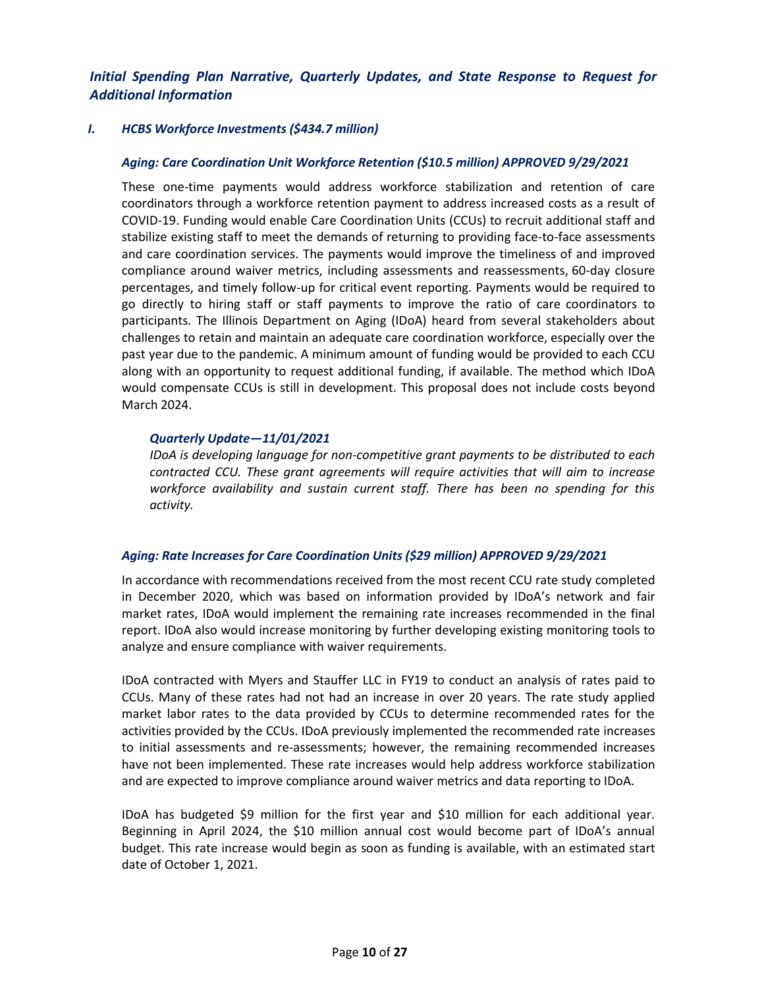# *Initial Spending Plan Narrative, Quarterly Updates, and State Response to Request for Additional Information*

## *I. HCBS Workforce Investments (\$434.7 million)*

### *Aging: Care Coordination Unit Workforce Retention (\$10.5 million) APPROVED 9/29/2021*

These one-time payments would address workforce stabilization and retention of care coordinators through a workforce retention payment to address increased costs as a result of COVID-19. Funding would enable Care Coordination Units (CCUs) to recruit additional staff and stabilize existing staff to meet the demands of returning to providing face-to-face assessments and care coordination services. The payments would improve the timeliness of and improved compliance around waiver metrics, including assessments and reassessments, 60-day closure percentages, and timely follow-up for critical event reporting. Payments would be required to go directly to hiring staff or staff payments to improve the ratio of care coordinators to participants. The Illinois Department on Aging (IDoA) heard from several stakeholders about challenges to retain and maintain an adequate care coordination workforce, especially over the past year due to the pandemic. A minimum amount of funding would be provided to each CCU along with an opportunity to request additional funding, if available. The method which IDoA would compensate CCUs is still in development. This proposal does not include costs beyond March 2024.

### *Quarterly Update—11/01/2021*

*IDoA is developing language for non-competitive grant payments to be distributed to each contracted CCU. These grant agreements will require activities that will aim to increase workforce availability and sustain current staff. There has been no spending for this activity.*

### *Aging: Rate Increases for Care Coordination Units (\$29 million) APPROVED 9/29/2021*

In accordance with recommendations received from the most recent CCU rate study completed in December 2020, which was based on information provided by IDoA's network and fair market rates, IDoA would implement the remaining rate increases recommended in the final report. IDoA also would increase monitoring by further developing existing monitoring tools to analyze and ensure compliance with waiver requirements.

IDoA contracted with Myers and Stauffer LLC in FY19 to conduct an analysis of rates paid to CCUs. Many of these rates had not had an increase in over 20 years. The rate study applied market labor rates to the data provided by CCUs to determine recommended rates for the activities provided by the CCUs. IDoA previously implemented the recommended rate increases to initial assessments and re-assessments; however, the remaining recommended increases have not been implemented. These rate increases would help address workforce stabilization and are expected to improve compliance around waiver metrics and data reporting to IDoA.

IDoA has budgeted \$9 million for the first year and \$10 million for each additional year. Beginning in April 2024, the \$10 million annual cost would become part of IDoA's annual budget. This rate increase would begin as soon as funding is available, with an estimated start date of October 1, 2021.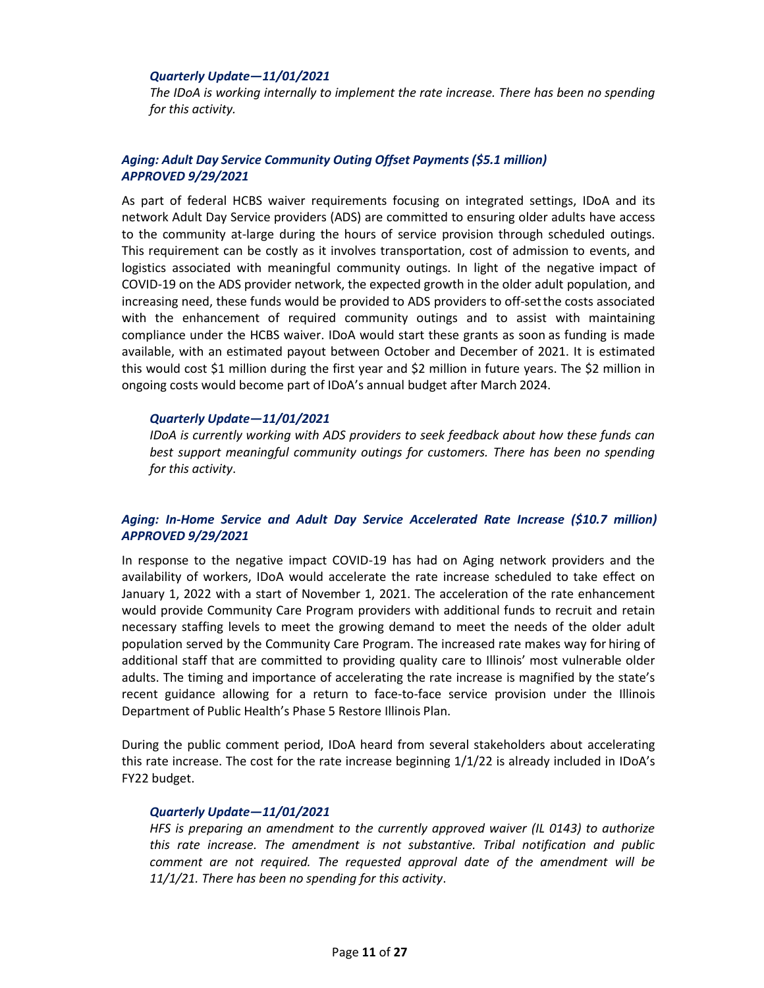### *Quarterly Update—11/01/2021*

*The IDoA is working internally to implement the rate increase. There has been no spending for this activity.*

## *Aging: Adult Day Service Community Outing Offset Payments (\$5.1 million) APPROVED 9/29/2021*

As part of federal HCBS waiver requirements focusing on integrated settings, IDoA and its network Adult Day Service providers (ADS) are committed to ensuring older adults have access to the community at-large during the hours of service provision through scheduled outings. This requirement can be costly as it involves transportation, cost of admission to events, and logistics associated with meaningful community outings. In light of the negative impact of COVID-19 on the ADS provider network, the expected growth in the older adult population, and increasing need, these funds would be provided to ADS providers to off-setthe costs associated with the enhancement of required community outings and to assist with maintaining compliance under the HCBS waiver. IDoA would start these grants as soon as funding is made available, with an estimated payout between October and December of 2021. It is estimated this would cost \$1 million during the first year and \$2 million in future years. The \$2 million in ongoing costs would become part of IDoA's annual budget after March 2024.

### *Quarterly Update—11/01/2021*

*IDoA is currently working with ADS providers to seek feedback about how these funds can best support meaningful community outings for customers. There has been no spending for this activity*.

## *Aging: In-Home Service and Adult Day Service Accelerated Rate Increase (\$10.7 million) APPROVED 9/29/2021*

In response to the negative impact COVID-19 has had on Aging network providers and the availability of workers, IDoA would accelerate the rate increase scheduled to take effect on January 1, 2022 with a start of November 1, 2021. The acceleration of the rate enhancement would provide Community Care Program providers with additional funds to recruit and retain necessary staffing levels to meet the growing demand to meet the needs of the older adult population served by the Community Care Program. The increased rate makes way for hiring of additional staff that are committed to providing quality care to Illinois' most vulnerable older adults. The timing and importance of accelerating the rate increase is magnified by the state's recent guidance allowing for a return to face-to-face service provision under the Illinois Department of Public Health's Phase 5 Restore Illinois Plan.

During the public comment period, IDoA heard from several stakeholders about accelerating this rate increase. The cost for the rate increase beginning 1/1/22 is already included in IDoA's FY22 budget.

#### *Quarterly Update—11/01/2021*

*HFS is preparing an amendment to the currently approved waiver (IL 0143) to authorize this rate increase. The amendment is not substantive. Tribal notification and public comment are not required. The requested approval date of the amendment will be 11/1/21. There has been no spending for this activity*.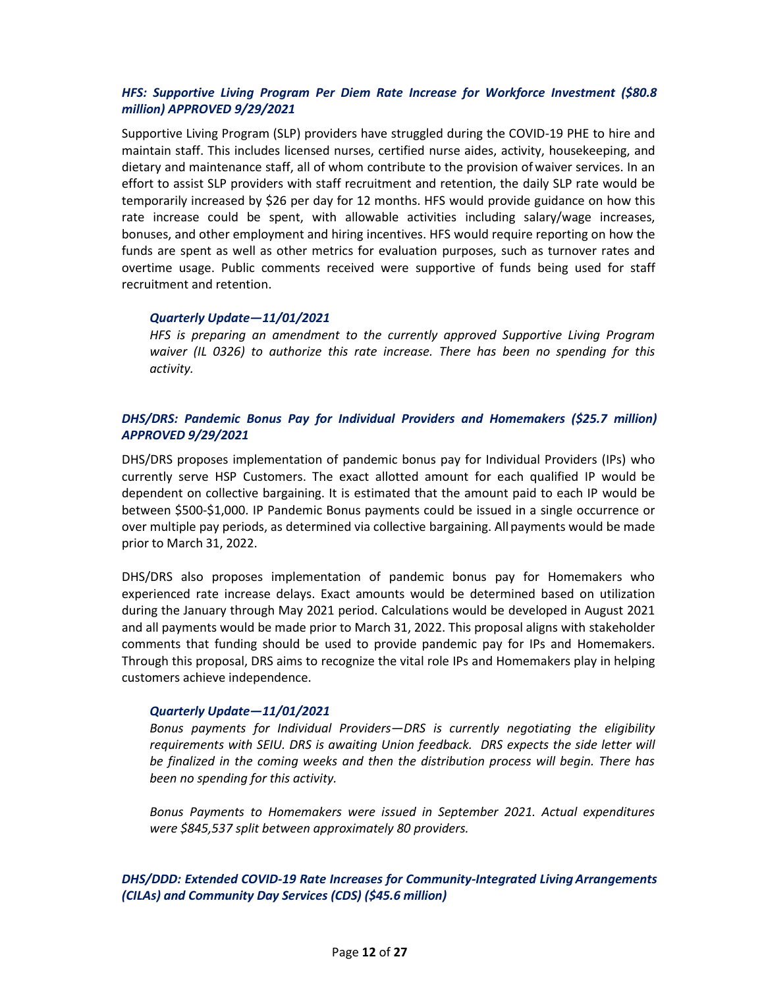## *HFS: Supportive Living Program Per Diem Rate Increase for Workforce Investment (\$80.8 million) APPROVED 9/29/2021*

Supportive Living Program (SLP) providers have struggled during the COVID-19 PHE to hire and maintain staff. This includes licensed nurses, certified nurse aides, activity, housekeeping, and dietary and maintenance staff, all of whom contribute to the provision ofwaiver services. In an effort to assist SLP providers with staff recruitment and retention, the daily SLP rate would be temporarily increased by \$26 per day for 12 months. HFS would provide guidance on how this rate increase could be spent, with allowable activities including salary/wage increases, bonuses, and other employment and hiring incentives. HFS would require reporting on how the funds are spent as well as other metrics for evaluation purposes, such as turnover rates and overtime usage. Public comments received were supportive of funds being used for staff recruitment and retention.

### *Quarterly Update—11/01/2021*

*HFS is preparing an amendment to the currently approved Supportive Living Program waiver (IL 0326) to authorize this rate increase. There has been no spending for this activity.*

## *DHS/DRS: Pandemic Bonus Pay for Individual Providers and Homemakers (\$25.7 million) APPROVED 9/29/2021*

DHS/DRS proposes implementation of pandemic bonus pay for Individual Providers (IPs) who currently serve HSP Customers. The exact allotted amount for each qualified IP would be dependent on collective bargaining. It is estimated that the amount paid to each IP would be between \$500-\$1,000. IP Pandemic Bonus payments could be issued in a single occurrence or over multiple pay periods, as determined via collective bargaining. Allpayments would be made prior to March 31, 2022.

DHS/DRS also proposes implementation of pandemic bonus pay for Homemakers who experienced rate increase delays. Exact amounts would be determined based on utilization during the January through May 2021 period. Calculations would be developed in August 2021 and all payments would be made prior to March 31, 2022. This proposal aligns with stakeholder comments that funding should be used to provide pandemic pay for IPs and Homemakers. Through this proposal, DRS aims to recognize the vital role IPs and Homemakers play in helping customers achieve independence.

### *Quarterly Update—11/01/2021*

*Bonus payments for Individual Providers—DRS is currently negotiating the eligibility requirements with SEIU. DRS is awaiting Union feedback. DRS expects the side letter will be finalized in the coming weeks and then the distribution process will begin. There has been no spending for this activity.*

*Bonus Payments to Homemakers were issued in September 2021. Actual expenditures were \$845,537 split between approximately 80 providers.*

## *DHS/DDD: Extended COVID-19 Rate Increases for Community-Integrated LivingArrangements (CILAs) and Community Day Services (CDS) (\$45.6 million)*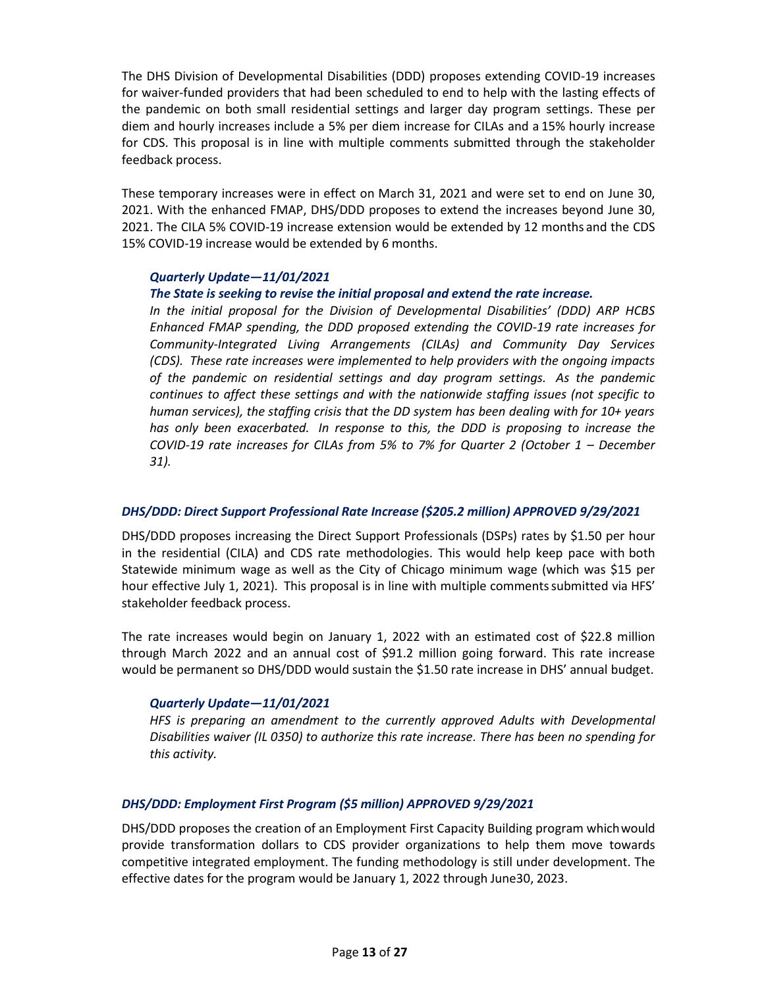The DHS Division of Developmental Disabilities (DDD) proposes extending COVID-19 increases for waiver-funded providers that had been scheduled to end to help with the lasting effects of the pandemic on both small residential settings and larger day program settings. These per diem and hourly increases include a 5% per diem increase for CILAs and a 15% hourly increase for CDS. This proposal is in line with multiple comments submitted through the stakeholder feedback process.

These temporary increases were in effect on March 31, 2021 and were set to end on June 30, 2021. With the enhanced FMAP, DHS/DDD proposes to extend the increases beyond June 30, 2021. The CILA 5% COVID-19 increase extension would be extended by 12 months and the CDS 15% COVID-19 increase would be extended by 6 months.

## *Quarterly Update—11/01/2021*

## *The State is seeking to revise the initial proposal and extend the rate increase.*

*In the initial proposal for the Division of Developmental Disabilities' (DDD) ARP HCBS Enhanced FMAP spending, the DDD proposed extending the COVID-19 rate increases for Community-Integrated Living Arrangements (CILAs) and Community Day Services (CDS). These rate increases were implemented to help providers with the ongoing impacts of the pandemic on residential settings and day program settings. As the pandemic continues to affect these settings and with the nationwide staffing issues (not specific to human services), the staffing crisis that the DD system has been dealing with for 10+ years has only been exacerbated. In response to this, the DDD is proposing to increase the COVID-19 rate increases for CILAs from 5% to 7% for Quarter 2 (October 1 – December 31).*

### *DHS/DDD: Direct Support Professional Rate Increase (\$205.2 million) APPROVED 9/29/2021*

DHS/DDD proposes increasing the Direct Support Professionals (DSPs) rates by \$1.50 per hour in the residential (CILA) and CDS rate methodologies. This would help keep pace with both Statewide minimum wage as well as the City of Chicago minimum wage (which was \$15 per hour effective July 1, 2021). This proposal is in line with multiple comments submitted via HFS' stakeholder feedback process.

The rate increases would begin on January 1, 2022 with an estimated cost of \$22.8 million through March 2022 and an annual cost of \$91.2 million going forward. This rate increase would be permanent so DHS/DDD would sustain the \$1.50 rate increase in DHS' annual budget.

## *Quarterly Update—11/01/2021*

*HFS is preparing an amendment to the currently approved Adults with Developmental Disabilities waiver (IL 0350) to authorize this rate increase. There has been no spending for this activity.*

## *DHS/DDD: Employment First Program (\$5 million) APPROVED 9/29/2021*

DHS/DDD proposes the creation of an Employment First Capacity Building program whichwould provide transformation dollars to CDS provider organizations to help them move towards competitive integrated employment. The funding methodology is still under development. The effective dates for the program would be January 1, 2022 through June30, 2023.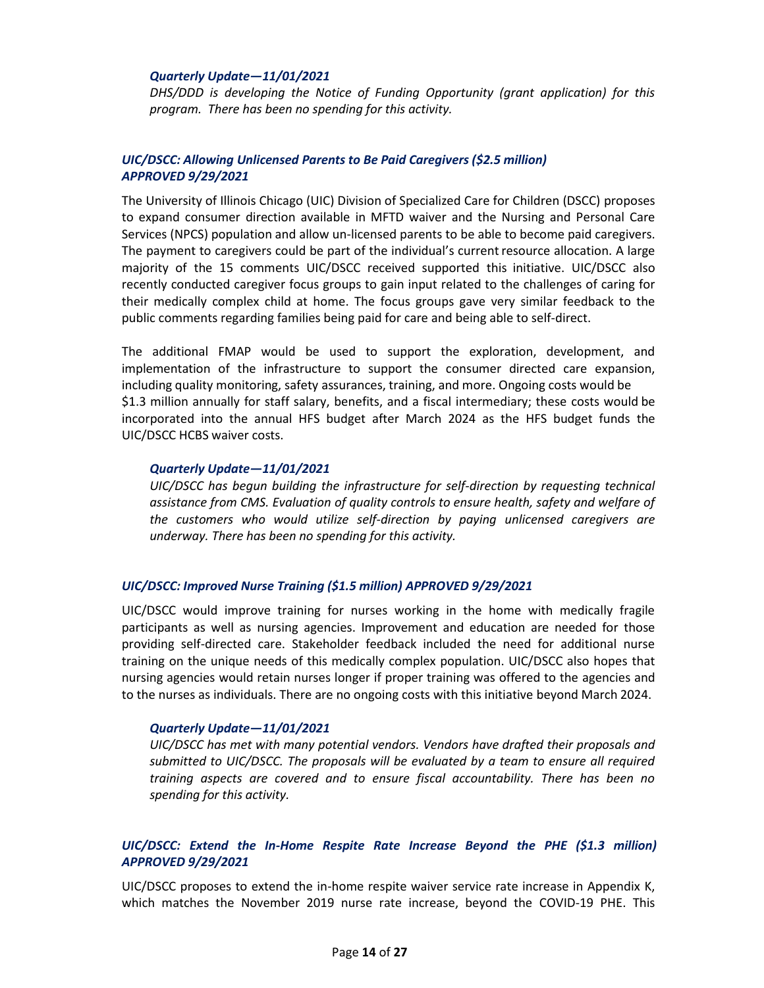### *Quarterly Update—11/01/2021*

*DHS/DDD is developing the Notice of Funding Opportunity (grant application) for this program. There has been no spending for this activity.*

## *UIC/DSCC: Allowing Unlicensed Parents to Be Paid Caregivers (\$2.5 million) APPROVED 9/29/2021*

The University of Illinois Chicago (UIC) Division of Specialized Care for Children (DSCC) proposes to expand consumer direction available in MFTD waiver and the Nursing and Personal Care Services (NPCS) population and allow un-licensed parents to be able to become paid caregivers. The payment to caregivers could be part of the individual's currentresource allocation. A large majority of the 15 comments UIC/DSCC received supported this initiative. UIC/DSCC also recently conducted caregiver focus groups to gain input related to the challenges of caring for their medically complex child at home. The focus groups gave very similar feedback to the public comments regarding families being paid for care and being able to self-direct.

The additional FMAP would be used to support the exploration, development, and implementation of the infrastructure to support the consumer directed care expansion, including quality monitoring, safety assurances, training, and more. Ongoing costs would be \$1.3 million annually for staff salary, benefits, and a fiscal intermediary; these costs would be incorporated into the annual HFS budget after March 2024 as the HFS budget funds the UIC/DSCC HCBS waiver costs.

### *Quarterly Update—11/01/2021*

*UIC/DSCC has begun building the infrastructure for self-direction by requesting technical assistance from CMS. Evaluation of quality controls to ensure health, safety and welfare of the customers who would utilize self-direction by paying unlicensed caregivers are underway. There has been no spending for this activity.*

### *UIC/DSCC: Improved Nurse Training (\$1.5 million) APPROVED 9/29/2021*

UIC/DSCC would improve training for nurses working in the home with medically fragile participants as well as nursing agencies. Improvement and education are needed for those providing self-directed care. Stakeholder feedback included the need for additional nurse training on the unique needs of this medically complex population. UIC/DSCC also hopes that nursing agencies would retain nurses longer if proper training was offered to the agencies and to the nurses as individuals. There are no ongoing costs with this initiative beyond March 2024.

### *Quarterly Update—11/01/2021*

*UIC/DSCC has met with many potential vendors. Vendors have drafted their proposals and submitted to UIC/DSCC. The proposals will be evaluated by a team to ensure all required training aspects are covered and to ensure fiscal accountability. There has been no spending for this activity.*

## *UIC/DSCC: Extend the In-Home Respite Rate Increase Beyond the PHE (\$1.3 million) APPROVED 9/29/2021*

UIC/DSCC proposes to extend the in-home respite waiver service rate increase in Appendix K, which matches the November 2019 nurse rate increase, beyond the COVID-19 PHE. This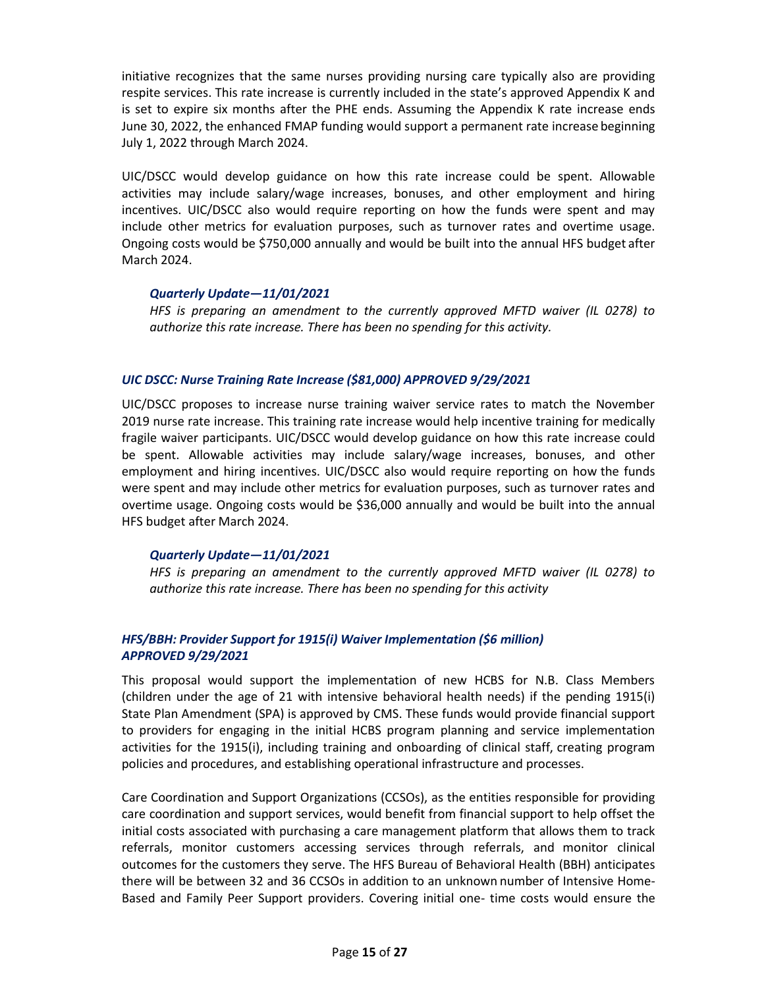initiative recognizes that the same nurses providing nursing care typically also are providing respite services. This rate increase is currently included in the state's approved Appendix K and is set to expire six months after the PHE ends. Assuming the Appendix K rate increase ends June 30, 2022, the enhanced FMAP funding would support a permanent rate increase beginning July 1, 2022 through March 2024.

UIC/DSCC would develop guidance on how this rate increase could be spent. Allowable activities may include salary/wage increases, bonuses, and other employment and hiring incentives. UIC/DSCC also would require reporting on how the funds were spent and may include other metrics for evaluation purposes, such as turnover rates and overtime usage. Ongoing costs would be \$750,000 annually and would be built into the annual HFS budget after March 2024.

### *Quarterly Update—11/01/2021*

*HFS is preparing an amendment to the currently approved MFTD waiver (IL 0278) to authorize this rate increase. There has been no spending for this activity.*

## *UIC DSCC: Nurse Training Rate Increase (\$81,000) APPROVED 9/29/2021*

UIC/DSCC proposes to increase nurse training waiver service rates to match the November 2019 nurse rate increase. This training rate increase would help incentive training for medically fragile waiver participants. UIC/DSCC would develop guidance on how this rate increase could be spent. Allowable activities may include salary/wage increases, bonuses, and other employment and hiring incentives. UIC/DSCC also would require reporting on how the funds were spent and may include other metrics for evaluation purposes, such as turnover rates and overtime usage. Ongoing costs would be \$36,000 annually and would be built into the annual HFS budget after March 2024.

### *Quarterly Update—11/01/2021*

*HFS is preparing an amendment to the currently approved MFTD waiver (IL 0278) to authorize this rate increase. There has been no spending for this activity*

## *HFS/BBH: Provider Support for 1915(i) Waiver Implementation (\$6 million) APPROVED 9/29/2021*

This proposal would support the implementation of new HCBS for N.B. Class Members (children under the age of 21 with intensive behavioral health needs) if the pending 1915(i) State Plan Amendment (SPA) is approved by CMS. These funds would provide financial support to providers for engaging in the initial HCBS program planning and service implementation activities for the 1915(i), including training and onboarding of clinical staff, creating program policies and procedures, and establishing operational infrastructure and processes.

Care Coordination and Support Organizations (CCSOs), as the entities responsible for providing care coordination and support services, would benefit from financial support to help offset the initial costs associated with purchasing a care management platform that allows them to track referrals, monitor customers accessing services through referrals, and monitor clinical outcomes for the customers they serve. The HFS Bureau of Behavioral Health (BBH) anticipates there will be between 32 and 36 CCSOs in addition to an unknown number of Intensive Home-Based and Family Peer Support providers. Covering initial one- time costs would ensure the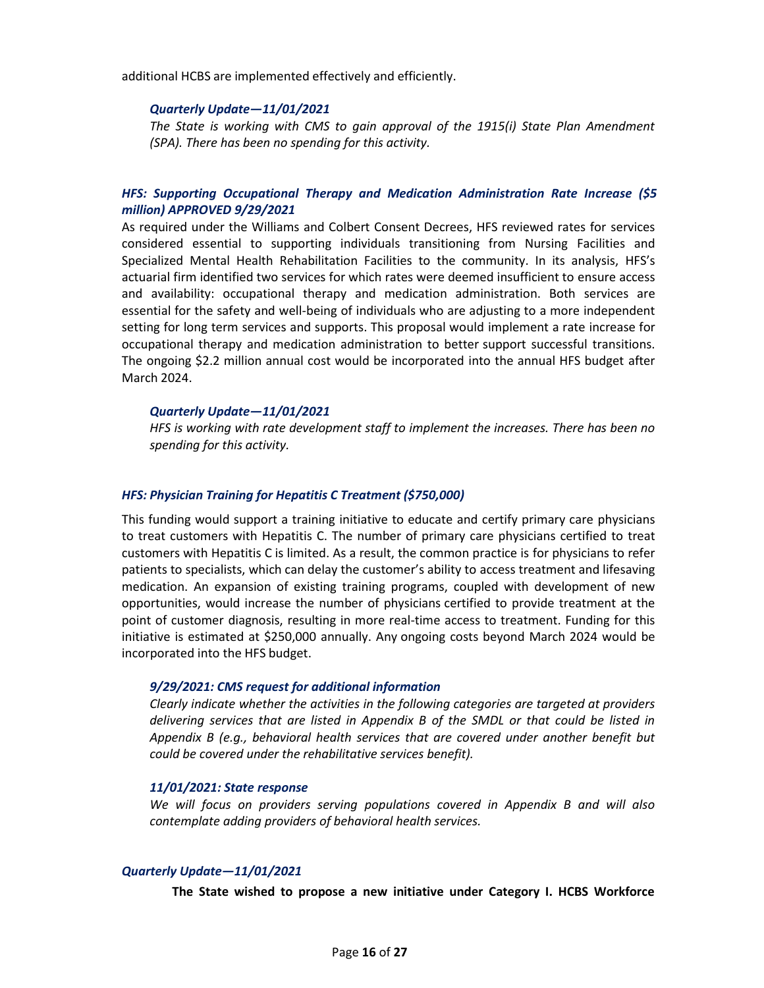additional HCBS are implemented effectively and efficiently.

### *Quarterly Update—11/01/2021*

*The State is working with CMS to gain approval of the 1915(i) State Plan Amendment (SPA). There has been no spending for this activity.*

### *HFS: Supporting Occupational Therapy and Medication Administration Rate Increase (\$5 million) APPROVED 9/29/2021*

As required under the Williams and Colbert Consent Decrees, HFS reviewed rates for services considered essential to supporting individuals transitioning from Nursing Facilities and Specialized Mental Health Rehabilitation Facilities to the community. In its analysis, HFS's actuarial firm identified two services for which rates were deemed insufficient to ensure access and availability: occupational therapy and medication administration. Both services are essential for the safety and well-being of individuals who are adjusting to a more independent setting for long term services and supports. This proposal would implement a rate increase for occupational therapy and medication administration to better support successful transitions. The ongoing \$2.2 million annual cost would be incorporated into the annual HFS budget after March 2024.

#### *Quarterly Update—11/01/2021*

*HFS is working with rate development staff to implement the increases. There has been no spending for this activity.*

### *HFS: Physician Training for Hepatitis C Treatment (\$750,000)*

This funding would support a training initiative to educate and certify primary care physicians to treat customers with Hepatitis C. The number of primary care physicians certified to treat customers with Hepatitis C is limited. As a result, the common practice is for physicians to refer patients to specialists, which can delay the customer's ability to access treatment and lifesaving medication. An expansion of existing training programs, coupled with development of new opportunities, would increase the number of physicians certified to provide treatment at the point of customer diagnosis, resulting in more real-time access to treatment. Funding for this initiative is estimated at \$250,000 annually. Any ongoing costs beyond March 2024 would be incorporated into the HFS budget.

#### *9/29/2021: CMS request for additional information*

*Clearly indicate whether the activities in the following categories are targeted at providers delivering services that are listed in Appendix B of the SMDL or that could be listed in Appendix B (e.g., behavioral health services that are covered under another benefit but could be covered under the rehabilitative services benefit).*

### *11/01/2021: State response*

*We will focus on providers serving populations covered in Appendix B and will also contemplate adding providers of behavioral health services.*

## *Quarterly Update—11/01/2021*

**The State wished to propose a new initiative under Category I. HCBS Workforce**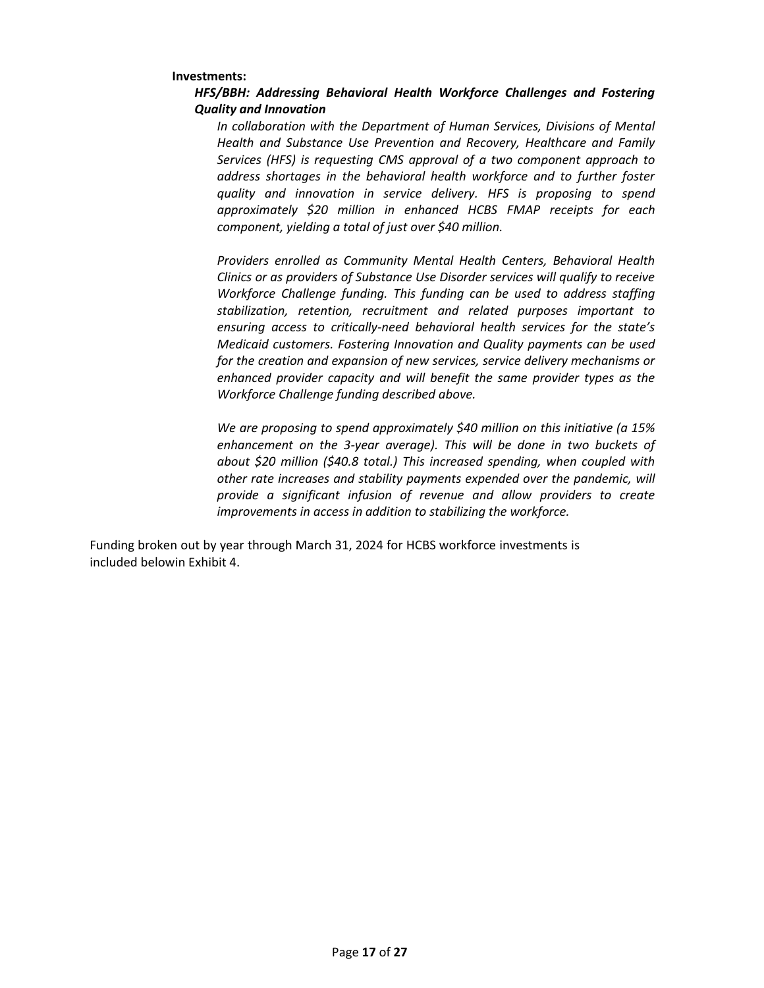#### **Investments:**

## *HFS/BBH: Addressing Behavioral Health Workforce Challenges and Fostering Quality and Innovation*

*In collaboration with the Department of Human Services, Divisions of Mental Health and Substance Use Prevention and Recovery, Healthcare and Family Services (HFS) is requesting CMS approval of a two component approach to address shortages in the behavioral health workforce and to further foster quality and innovation in service delivery. HFS is proposing to spend approximately \$20 million in enhanced HCBS FMAP receipts for each component, yielding a total of just over \$40 million.*

*Providers enrolled as Community Mental Health Centers, Behavioral Health Clinics or as providers of Substance Use Disorder services will qualify to receive Workforce Challenge funding. This funding can be used to address staffing stabilization, retention, recruitment and related purposes important to ensuring access to critically-need behavioral health services for the state's Medicaid customers. Fostering Innovation and Quality payments can be used for the creation and expansion of new services, service delivery mechanisms or enhanced provider capacity and will benefit the same provider types as the Workforce Challenge funding described above.*

*We are proposing to spend approximately \$40 million on this initiative (a 15% enhancement on the 3-year average). This will be done in two buckets of about \$20 million (\$40.8 total.) This increased spending, when coupled with other rate increases and stability payments expended over the pandemic, will provide a significant infusion of revenue and allow providers to create improvements in access in addition to stabilizing the workforce.*

Funding broken out by year through March 31, 2024 for HCBS workforce investments is included belowin Exhibit 4.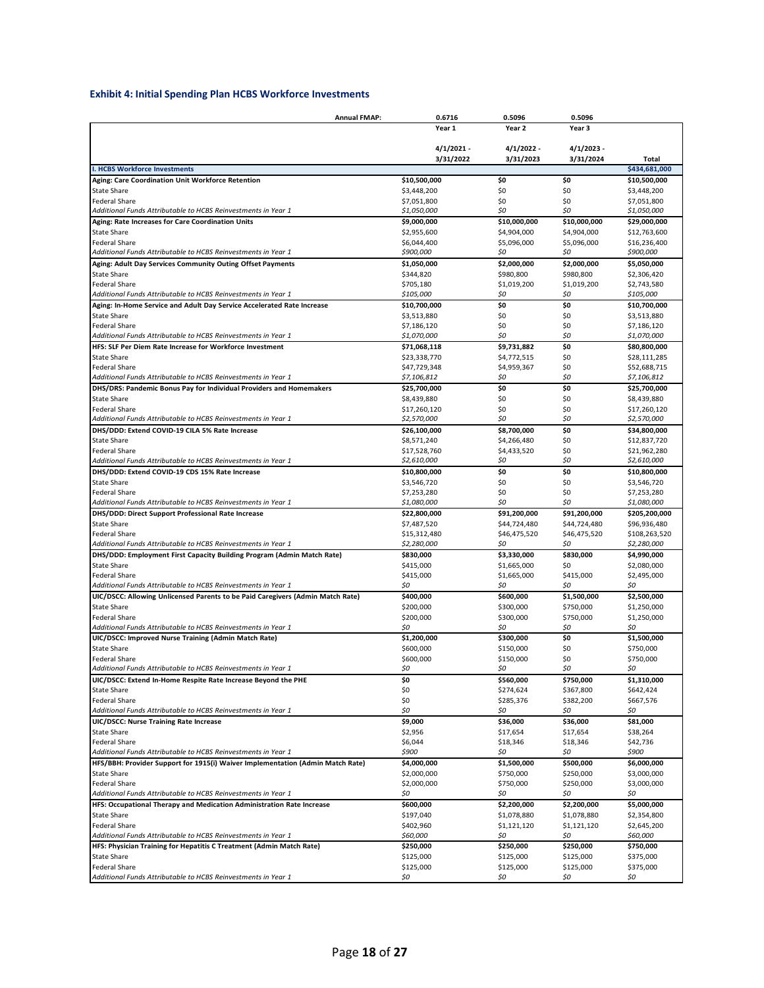## **Exhibit 4: Initial Spending Plan HCBS Workforce Investments**

|                                                                                                                                       | <b>Annual FMAP:</b><br>0.6716 | 0.5096                     | 0.5096                 |                             |
|---------------------------------------------------------------------------------------------------------------------------------------|-------------------------------|----------------------------|------------------------|-----------------------------|
|                                                                                                                                       | Year 1                        | Year 2                     | Year 3                 |                             |
|                                                                                                                                       |                               |                            |                        |                             |
|                                                                                                                                       | $4/1/2021 -$                  | $4/1/2022 -$               | $4/1/2023$ -           |                             |
|                                                                                                                                       | 3/31/2022                     | 3/31/2023                  | 3/31/2024              | Total                       |
| <b>I. HCBS Workforce Investments</b>                                                                                                  |                               |                            |                        | \$434,681,000               |
| Aging: Care Coordination Unit Workforce Retention<br><b>State Share</b>                                                               | \$10,500,000<br>\$3,448,200   | \$0<br>\$0                 | \$0<br>\$0             | \$10,500,000<br>\$3,448,200 |
| <b>Federal Share</b>                                                                                                                  | \$7,051,800                   | \$0                        | \$0                    | \$7,051,800                 |
| Additional Funds Attributable to HCBS Reinvestments in Year 1                                                                         | \$1,050,000                   | \$0                        | \$0                    | \$1,050,000                 |
| Aging: Rate Increases for Care Coordination Units                                                                                     | \$9,000,000                   | \$10,000,000               | \$10,000,000           | \$29,000,000                |
| <b>State Share</b>                                                                                                                    | \$2,955,600                   | \$4,904,000                | \$4,904,000            | \$12,763,600                |
| <b>Federal Share</b>                                                                                                                  | \$6,044,400                   | \$5,096,000                | \$5,096,000            | \$16,236,400                |
| Additional Funds Attributable to HCBS Reinvestments in Year 1                                                                         | \$900,000                     | \$0                        | \$0                    | \$900,000                   |
| Aging: Adult Day Services Community Outing Offset Payments                                                                            | \$1,050,000                   | \$2,000,000                | \$2,000,000            | \$5,050,000                 |
| <b>State Share</b>                                                                                                                    | \$344,820                     | \$980,800                  | \$980,800              | \$2,306,420                 |
| <b>Federal Share</b>                                                                                                                  | \$705,180                     | \$1,019,200                | \$1,019,200            | \$2,743,580                 |
| Additional Funds Attributable to HCBS Reinvestments in Year 1                                                                         | \$105,000                     | \$0                        | \$0                    | \$105,000                   |
| Aging: In-Home Service and Adult Day Service Accelerated Rate Increase                                                                | \$10,700,000                  | \$0                        | \$0                    | \$10,700,000                |
| <b>State Share</b><br><b>Federal Share</b>                                                                                            | \$3,513,880<br>\$7,186,120    | \$0<br>\$0                 | \$0<br>\$0             | \$3,513,880<br>\$7,186,120  |
| Additional Funds Attributable to HCBS Reinvestments in Year 1                                                                         | \$1,070,000                   | \$0                        | \$0                    | \$1,070,000                 |
| HFS: SLF Per Diem Rate Increase for Workforce Investment                                                                              | \$71,068,118                  | \$9,731,882                | \$0                    | \$80,800,000                |
| <b>State Share</b>                                                                                                                    | \$23,338,770                  | \$4,772,515                | \$0                    | \$28,111,285                |
| <b>Federal Share</b>                                                                                                                  | \$47,729,348                  | \$4,959,367                | \$0                    | \$52,688,715                |
| Additional Funds Attributable to HCBS Reinvestments in Year 1                                                                         | \$7,106,812                   | \$0                        | \$0                    | \$7,106,812                 |
| DHS/DRS: Pandemic Bonus Pay for Individual Providers and Homemakers                                                                   | \$25,700,000                  | \$0                        | \$0                    | \$25,700,000                |
| <b>State Share</b>                                                                                                                    | \$8,439,880                   | \$0                        | \$0                    | \$8,439,880                 |
| <b>Federal Share</b>                                                                                                                  | \$17,260,120                  | \$0                        | \$0                    | \$17,260,120                |
| Additional Funds Attributable to HCBS Reinvestments in Year 1                                                                         | \$2,570,000                   | \$0                        | \$0                    | \$2,570,000                 |
| DHS/DDD: Extend COVID-19 CILA 5% Rate Increase                                                                                        | \$26,100,000                  | \$8,700,000                | \$0                    | \$34,800,000                |
| <b>State Share</b><br><b>Federal Share</b>                                                                                            | \$8,571,240                   | \$4,266,480                | \$0<br>\$0             | \$12,837,720                |
| Additional Funds Attributable to HCBS Reinvestments in Year 1                                                                         | \$17,528,760<br>\$2,610,000   | \$4,433,520<br>\$0         | \$0                    | \$21,962,280<br>\$2,610,000 |
| DHS/DDD: Extend COVID-19 CDS 15% Rate Increase                                                                                        | \$10,800,000                  | \$0                        | \$0                    | \$10,800,000                |
| <b>State Share</b>                                                                                                                    | \$3,546,720                   | \$0                        | \$0                    | \$3,546,720                 |
| <b>Federal Share</b>                                                                                                                  | \$7,253,280                   | \$0                        | \$0                    | \$7,253,280                 |
| Additional Funds Attributable to HCBS Reinvestments in Year 1                                                                         | \$1,080,000                   | \$0                        | \$0                    | \$1,080,000                 |
| DHS/DDD: Direct Support Professional Rate Increase                                                                                    | \$22,800,000                  | \$91,200,000               | \$91,200,000           | \$205,200,000               |
| <b>State Share</b>                                                                                                                    | \$7,487,520                   | \$44,724,480               | \$44,724,480           | \$96,936,480                |
| <b>Federal Share</b>                                                                                                                  | \$15,312,480                  | \$46,475,520               | \$46,475,520           | \$108,263,520               |
| Additional Funds Attributable to HCBS Reinvestments in Year 1                                                                         | \$2,280,000                   | \$0                        | \$0                    | \$2,280,000                 |
| DHS/DDD: Employment First Capacity Building Program (Admin Match Rate)                                                                | \$830,000                     | \$3,330,000                | \$830,000              | \$4,990,000                 |
| <b>State Share</b><br><b>Federal Share</b>                                                                                            | \$415,000<br>\$415,000        | \$1,665,000<br>\$1,665,000 | \$0<br>\$415,000       | \$2,080,000<br>\$2,495,000  |
| Additional Funds Attributable to HCBS Reinvestments in Year 1                                                                         | \$0                           | \$0                        | \$0                    | \$0                         |
| UIC/DSCC: Allowing Unlicensed Parents to be Paid Caregivers (Admin Match Rate)                                                        | \$400,000                     | \$600,000                  | \$1,500,000            | \$2,500,000                 |
| <b>State Share</b>                                                                                                                    | \$200,000                     | \$300,000                  | \$750,000              | \$1,250,000                 |
| <b>Federal Share</b>                                                                                                                  | \$200,000                     | \$300,000                  | \$750,000              | \$1,250,000                 |
| Additional Funds Attributable to HCBS Reinvestments in Year 1                                                                         | \$0                           | \$0                        | \$0                    | \$0                         |
| UIC/DSCC: Improved Nurse Training (Admin Match Rate)                                                                                  | \$1,200,000                   | \$300,000                  | \$0                    | \$1,500,000                 |
| <b>State Share</b>                                                                                                                    | \$600,000                     | \$150,000                  | \$0                    | \$750,000                   |
| <b>Federal Share</b>                                                                                                                  | \$600,000                     | \$150,000                  | \$0                    | \$750,000                   |
| Additional Funds Attributable to HCBS Reinvestments in Year 1                                                                         | \$0                           | \$0                        | \$0                    | \$0                         |
| UIC/DSCC: Extend In-Home Respite Rate Increase Beyond the PHE<br><b>State Share</b>                                                   | \$0<br>\$0                    | \$560,000                  | \$750,000              | \$1,310,000                 |
| <b>Federal Share</b>                                                                                                                  | \$0                           | \$274,624<br>\$285,376     | \$367,800<br>\$382,200 | \$642,424<br>\$667,576      |
| Additional Funds Attributable to HCBS Reinvestments in Year 1                                                                         | \$0                           | \$0                        | \$0                    | \$0                         |
| UIC/DSCC: Nurse Training Rate Increase                                                                                                | \$9,000                       | \$36,000                   | \$36,000               | \$81,000                    |
| <b>State Share</b>                                                                                                                    | \$2,956                       | \$17,654                   | \$17,654               | \$38,264                    |
| <b>Federal Share</b>                                                                                                                  | \$6,044                       | \$18,346                   | \$18,346               | \$42,736                    |
| Additional Funds Attributable to HCBS Reinvestments in Year 1                                                                         | \$900                         | \$0                        | \$0                    | \$900                       |
| HFS/BBH: Provider Support for 1915(i) Waiver Implementation (Admin Match Rate)                                                        | \$4,000,000                   | \$1,500,000                | \$500,000              | \$6,000,000                 |
| <b>State Share</b>                                                                                                                    | \$2,000,000                   | \$750,000                  | \$250,000              | \$3,000,000                 |
| <b>Federal Share</b>                                                                                                                  | \$2,000,000                   | \$750,000                  | \$250,000              | \$3,000,000                 |
| Additional Funds Attributable to HCBS Reinvestments in Year 1                                                                         | \$0                           | \$0                        | \$0                    | \$0                         |
| HFS: Occupational Therapy and Medication Administration Rate Increase                                                                 | \$600,000                     | \$2,200,000                | \$2,200,000            | \$5,000,000                 |
| <b>State Share</b>                                                                                                                    | \$197,040                     | \$1,078,880                | \$1,078,880            | \$2,354,800                 |
| <b>Federal Share</b>                                                                                                                  | \$402,960                     | \$1,121,120                | \$1,121,120            | \$2,645,200                 |
| Additional Funds Attributable to HCBS Reinvestments in Year 1<br>HFS: Physician Training for Hepatitis C Treatment (Admin Match Rate) | \$60,000<br>\$250,000         | Ş0<br>\$250,000            | \$0<br>\$250,000       | \$60,000<br>\$750,000       |
| <b>State Share</b>                                                                                                                    | \$125,000                     | \$125,000                  | \$125,000              | \$375,000                   |
| <b>Federal Share</b>                                                                                                                  | \$125,000                     | \$125,000                  | \$125,000              | \$375,000                   |
| Additional Funds Attributable to HCBS Reinvestments in Year 1                                                                         | \$0                           | \$0                        | \$0                    | \$0                         |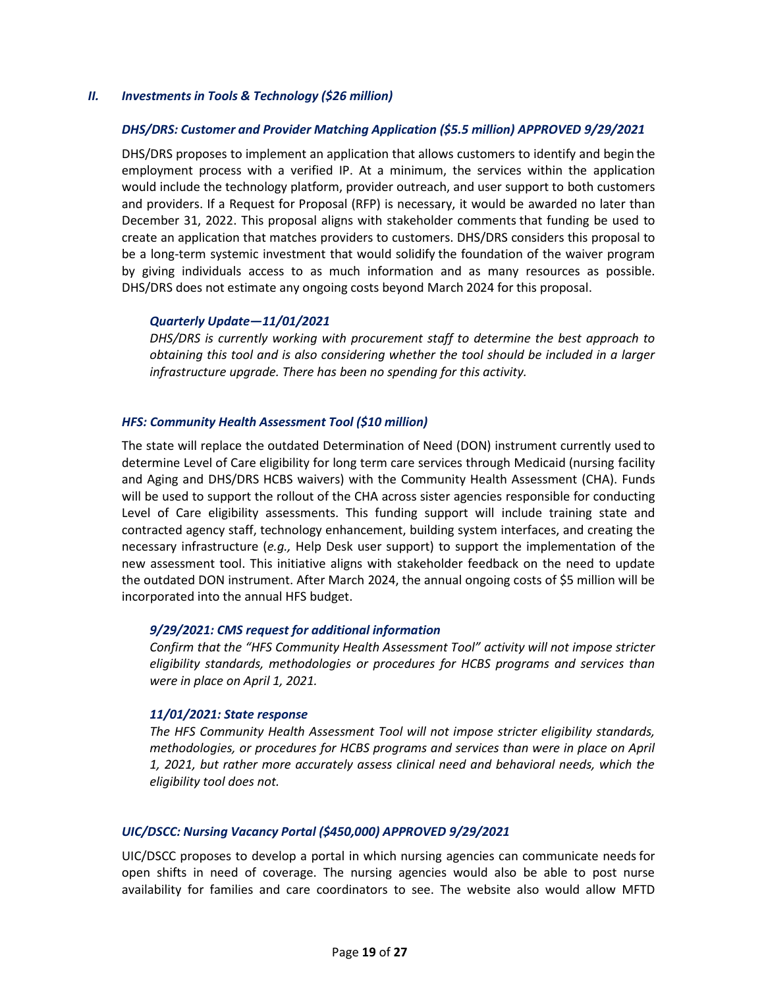### *II. Investments in Tools & Technology (\$26 million)*

### *DHS/DRS: Customer and Provider Matching Application (\$5.5 million) APPROVED 9/29/2021*

DHS/DRS proposes to implement an application that allows customers to identify and begin the employment process with a verified IP. At a minimum, the services within the application would include the technology platform, provider outreach, and user support to both customers and providers. If a Request for Proposal (RFP) is necessary, it would be awarded no later than December 31, 2022. This proposal aligns with stakeholder comments that funding be used to create an application that matches providers to customers. DHS/DRS considers this proposal to be a long-term systemic investment that would solidify the foundation of the waiver program by giving individuals access to as much information and as many resources as possible. DHS/DRS does not estimate any ongoing costs beyond March 2024 for this proposal.

## *Quarterly Update—11/01/2021*

*DHS/DRS is currently working with procurement staff to determine the best approach to obtaining this tool and is also considering whether the tool should be included in a larger infrastructure upgrade. There has been no spending for this activity.*

## *HFS: Community Health Assessment Tool (\$10 million)*

The state will replace the outdated Determination of Need (DON) instrument currently used to determine Level of Care eligibility for long term care services through Medicaid (nursing facility and Aging and DHS/DRS HCBS waivers) with the Community Health Assessment (CHA). Funds will be used to support the rollout of the CHA across sister agencies responsible for conducting Level of Care eligibility assessments. This funding support will include training state and contracted agency staff, technology enhancement, building system interfaces, and creating the necessary infrastructure (*e.g.,* Help Desk user support) to support the implementation of the new assessment tool. This initiative aligns with stakeholder feedback on the need to update the outdated DON instrument. After March 2024, the annual ongoing costs of \$5 million will be incorporated into the annual HFS budget.

### *9/29/2021: CMS request for additional information*

*Confirm that the "HFS Community Health Assessment Tool" activity will not impose stricter eligibility standards, methodologies or procedures for HCBS programs and services than were in place on April 1, 2021.*

### *11/01/2021: State response*

*The HFS Community Health Assessment Tool will not impose stricter eligibility standards, methodologies, or procedures for HCBS programs and services than were in place on April 1, 2021, but rather more accurately assess clinical need and behavioral needs, which the eligibility tool does not.*

### *UIC/DSCC: Nursing Vacancy Portal (\$450,000) APPROVED 9/29/2021*

UIC/DSCC proposes to develop a portal in which nursing agencies can communicate needs for open shifts in need of coverage. The nursing agencies would also be able to post nurse availability for families and care coordinators to see. The website also would allow MFTD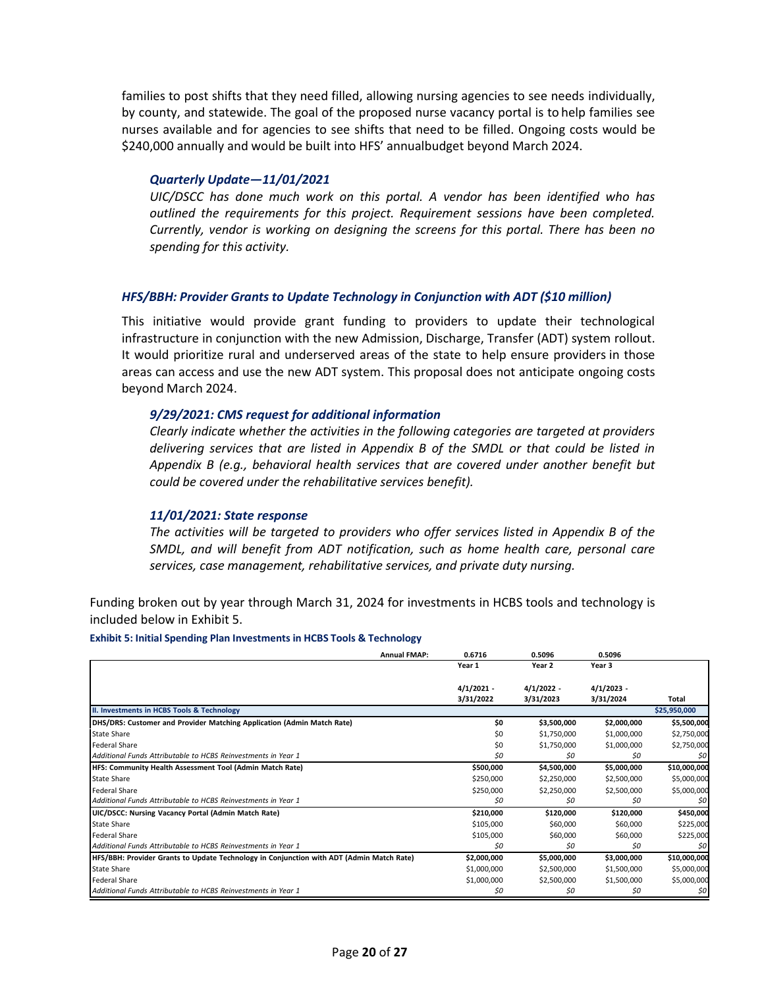families to post shifts that they need filled, allowing nursing agencies to see needs individually, by county, and statewide. The goal of the proposed nurse vacancy portal is to help families see nurses available and for agencies to see shifts that need to be filled. Ongoing costs would be \$240,000 annually and would be built into HFS' annualbudget beyond March 2024.

### *Quarterly Update—11/01/2021*

*UIC/DSCC has done much work on this portal. A vendor has been identified who has outlined the requirements for this project. Requirement sessions have been completed. Currently, vendor is working on designing the screens for this portal. There has been no spending for this activity.*

## *HFS/BBH: Provider Grants to Update Technology in Conjunction with ADT (\$10 million)*

This initiative would provide grant funding to providers to update their technological infrastructure in conjunction with the new Admission, Discharge, Transfer (ADT) system rollout. It would prioritize rural and underserved areas of the state to help ensure providers in those areas can access and use the new ADT system. This proposal does not anticipate ongoing costs beyond March 2024.

## *9/29/2021: CMS request for additional information*

*Clearly indicate whether the activities in the following categories are targeted at providers delivering services that are listed in Appendix B of the SMDL or that could be listed in Appendix B (e.g., behavioral health services that are covered under another benefit but could be covered under the rehabilitative services benefit).*

### *11/01/2021: State response*

*The activities will be targeted to providers who offer services listed in Appendix B of the SMDL, and will benefit from ADT notification, such as home health care, personal care services, case management, rehabilitative services, and private duty nursing.*

Funding broken out by year through March 31, 2024 for investments in HCBS tools and technology is included below in Exhibit 5.

#### **Exhibit 5: Initial Spending Plan Investments in HCBS Tools & Technology**

|                                                                                          | <b>Annual FMAP:</b> | 0.6716                    | 0.5096                    | 0.5096                    |              |
|------------------------------------------------------------------------------------------|---------------------|---------------------------|---------------------------|---------------------------|--------------|
|                                                                                          |                     | Year 1                    | Year 2                    | Year 3                    |              |
|                                                                                          |                     | $4/1/2021$ -<br>3/31/2022 | $4/1/2022$ -<br>3/31/2023 | $4/1/2023 -$<br>3/31/2024 | <b>Total</b> |
| II. Investments in HCBS Tools & Technology                                               |                     |                           |                           |                           | \$25,950,000 |
| DHS/DRS: Customer and Provider Matching Application (Admin Match Rate)                   |                     | \$0                       | \$3,500,000               | \$2,000,000               | \$5,500,000  |
| <b>State Share</b>                                                                       |                     | \$0                       | \$1,750,000               | \$1,000,000               | \$2,750,000  |
| <b>Federal Share</b>                                                                     |                     | \$0                       | \$1,750,000               | \$1,000,000               | \$2,750,000  |
| Additional Funds Attributable to HCBS Reinvestments in Year 1                            |                     | 50                        | \$0                       | \$0                       | \$0          |
| HFS: Community Health Assessment Tool (Admin Match Rate)                                 |                     | \$500,000                 | \$4,500,000               | \$5,000,000               | \$10,000,000 |
| <b>State Share</b>                                                                       |                     | \$250,000                 | \$2,250,000               | \$2,500,000               | \$5,000,000  |
| <b>Federal Share</b>                                                                     |                     | \$250,000                 | \$2,250,000               | \$2,500,000               | \$5,000,000  |
| Additional Funds Attributable to HCBS Reinvestments in Year 1                            |                     | \$0                       | \$0                       | \$0                       | SO I         |
| UIC/DSCC: Nursing Vacancy Portal (Admin Match Rate)                                      |                     | \$210,000                 | \$120,000                 | \$120,000                 | \$450,000    |
| <b>State Share</b>                                                                       |                     | \$105,000                 | \$60,000                  | \$60,000                  | \$225,000    |
| <b>Federal Share</b>                                                                     |                     | \$105,000                 | \$60,000                  | \$60,000                  | \$225,000    |
| Additional Funds Attributable to HCBS Reinvestments in Year 1                            |                     | \$0                       | \$0                       | \$0                       | \$0          |
| HFS/BBH: Provider Grants to Update Technology in Conjunction with ADT (Admin Match Rate) |                     | \$2,000,000               | \$5,000,000               | \$3,000,000               | \$10,000,000 |
| <b>State Share</b>                                                                       |                     | \$1,000,000               | \$2,500,000               | \$1,500,000               | \$5,000,000  |
| <b>Federal Share</b>                                                                     |                     | \$1,000,000               | \$2,500,000               | \$1,500,000               | \$5,000,000  |
| Additional Funds Attributable to HCBS Reinvestments in Year 1                            |                     | \$0                       | \$0                       | \$0                       | \$0          |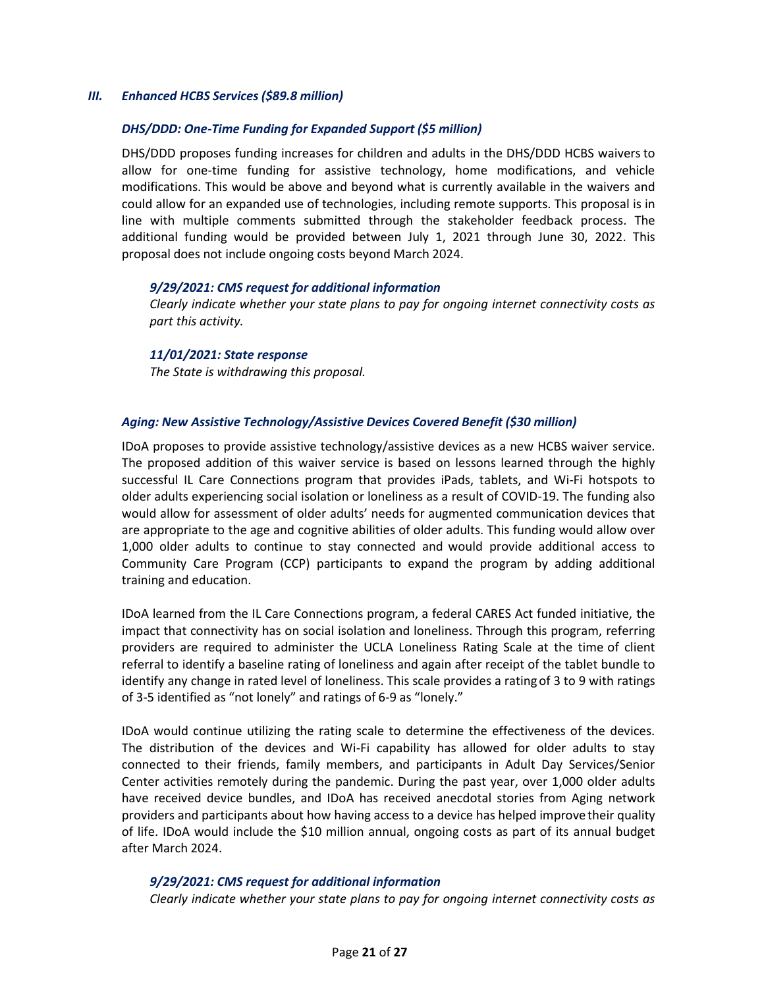### *III. Enhanced HCBS Services (\$89.8 million)*

### *DHS/DDD: One-Time Funding for Expanded Support (\$5 million)*

DHS/DDD proposes funding increases for children and adults in the DHS/DDD HCBS waiversto allow for one-time funding for assistive technology, home modifications, and vehicle modifications. This would be above and beyond what is currently available in the waivers and could allow for an expanded use of technologies, including remote supports. This proposal is in line with multiple comments submitted through the stakeholder feedback process. The additional funding would be provided between July 1, 2021 through June 30, 2022. This proposal does not include ongoing costs beyond March 2024.

### *9/29/2021: CMS request for additional information*

*Clearly indicate whether your state plans to pay for ongoing internet connectivity costs as part this activity.*

*11/01/2021: State response The State is withdrawing this proposal.*

## *Aging: New Assistive Technology/Assistive Devices Covered Benefit (\$30 million)*

IDoA proposes to provide assistive technology/assistive devices as a new HCBS waiver service. The proposed addition of this waiver service is based on lessons learned through the highly successful IL Care Connections program that provides iPads, tablets, and Wi-Fi hotspots to older adults experiencing social isolation or loneliness as a result of COVID-19. The funding also would allow for assessment of older adults' needs for augmented communication devices that are appropriate to the age and cognitive abilities of older adults. This funding would allow over 1,000 older adults to continue to stay connected and would provide additional access to Community Care Program (CCP) participants to expand the program by adding additional training and education.

IDoA learned from the IL Care Connections program, a federal CARES Act funded initiative, the impact that connectivity has on social isolation and loneliness. Through this program, referring providers are required to administer the UCLA Loneliness Rating Scale at the time of client referral to identify a baseline rating of loneliness and again after receipt of the tablet bundle to identify any change in rated level of loneliness. This scale provides a ratingof 3 to 9 with ratings of 3-5 identified as "not lonely" and ratings of 6-9 as "lonely."

IDoA would continue utilizing the rating scale to determine the effectiveness of the devices. The distribution of the devices and Wi-Fi capability has allowed for older adults to stay connected to their friends, family members, and participants in Adult Day Services/Senior Center activities remotely during the pandemic. During the past year, over 1,000 older adults have received device bundles, and IDoA has received anecdotal stories from Aging network providers and participants about how having access to a device has helped improve their quality of life. IDoA would include the \$10 million annual, ongoing costs as part of its annual budget after March 2024.

### *9/29/2021: CMS request for additional information*

*Clearly indicate whether your state plans to pay for ongoing internet connectivity costs as*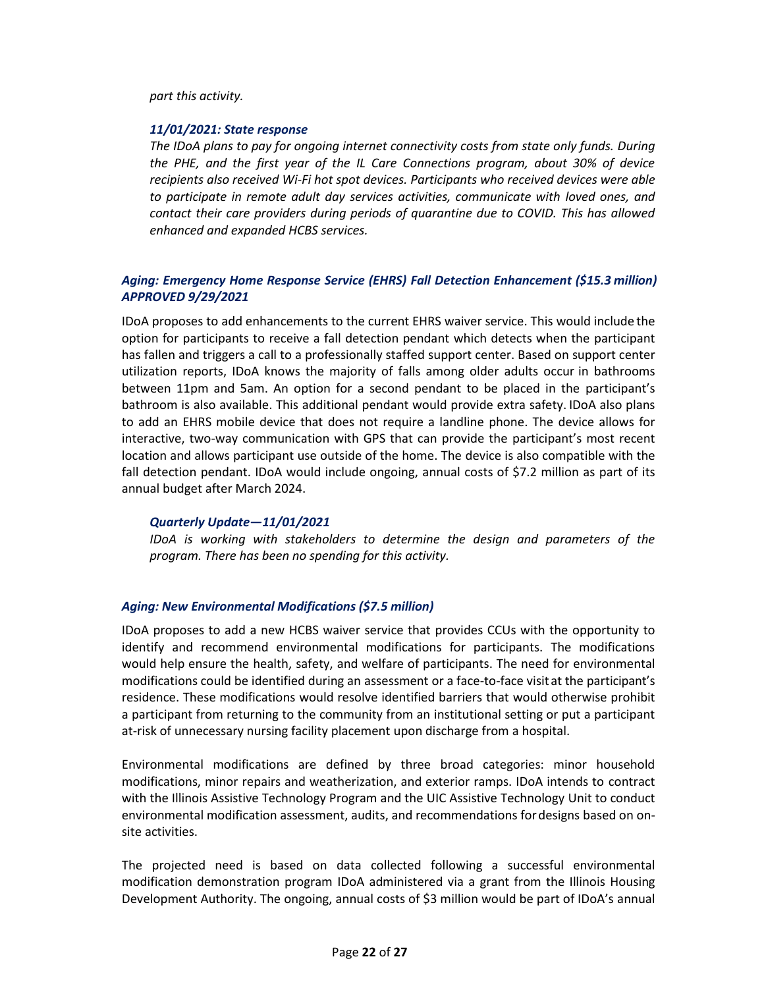### *part this activity.*

### *11/01/2021: State response*

*The IDoA plans to pay for ongoing internet connectivity costs from state only funds. During the PHE, and the first year of the IL Care Connections program, about 30% of device recipients also received Wi-Fi hot spot devices. Participants who received devices were able to participate in remote adult day services activities, communicate with loved ones, and contact their care providers during periods of quarantine due to COVID. This has allowed enhanced and expanded HCBS services.*

## *Aging: Emergency Home Response Service (EHRS) Fall Detection Enhancement (\$15.3 million) APPROVED 9/29/2021*

IDoA proposes to add enhancements to the current EHRS waiver service. This would include the option for participants to receive a fall detection pendant which detects when the participant has fallen and triggers a call to a professionally staffed support center. Based on support center utilization reports, IDoA knows the majority of falls among older adults occur in bathrooms between 11pm and 5am. An option for a second pendant to be placed in the participant's bathroom is also available. This additional pendant would provide extra safety. IDoA also plans to add an EHRS mobile device that does not require a landline phone. The device allows for interactive, two-way communication with GPS that can provide the participant's most recent location and allows participant use outside of the home. The device is also compatible with the fall detection pendant. IDoA would include ongoing, annual costs of \$7.2 million as part of its annual budget after March 2024.

### *Quarterly Update—11/01/2021*

*IDoA is working with stakeholders to determine the design and parameters of the program. There has been no spending for this activity.*

### *Aging: New Environmental Modifications (\$7.5 million)*

IDoA proposes to add a new HCBS waiver service that provides CCUs with the opportunity to identify and recommend environmental modifications for participants. The modifications would help ensure the health, safety, and welfare of participants. The need for environmental modifications could be identified during an assessment or a face-to-face visitat the participant's residence. These modifications would resolve identified barriers that would otherwise prohibit a participant from returning to the community from an institutional setting or put a participant at-risk of unnecessary nursing facility placement upon discharge from a hospital.

Environmental modifications are defined by three broad categories: minor household modifications, minor repairs and weatherization, and exterior ramps. IDoA intends to contract with the Illinois Assistive Technology Program and the UIC Assistive Technology Unit to conduct environmental modification assessment, audits, and recommendations fordesigns based on onsite activities.

The projected need is based on data collected following a successful environmental modification demonstration program IDoA administered via a grant from the Illinois Housing Development Authority. The ongoing, annual costs of \$3 million would be part of IDoA's annual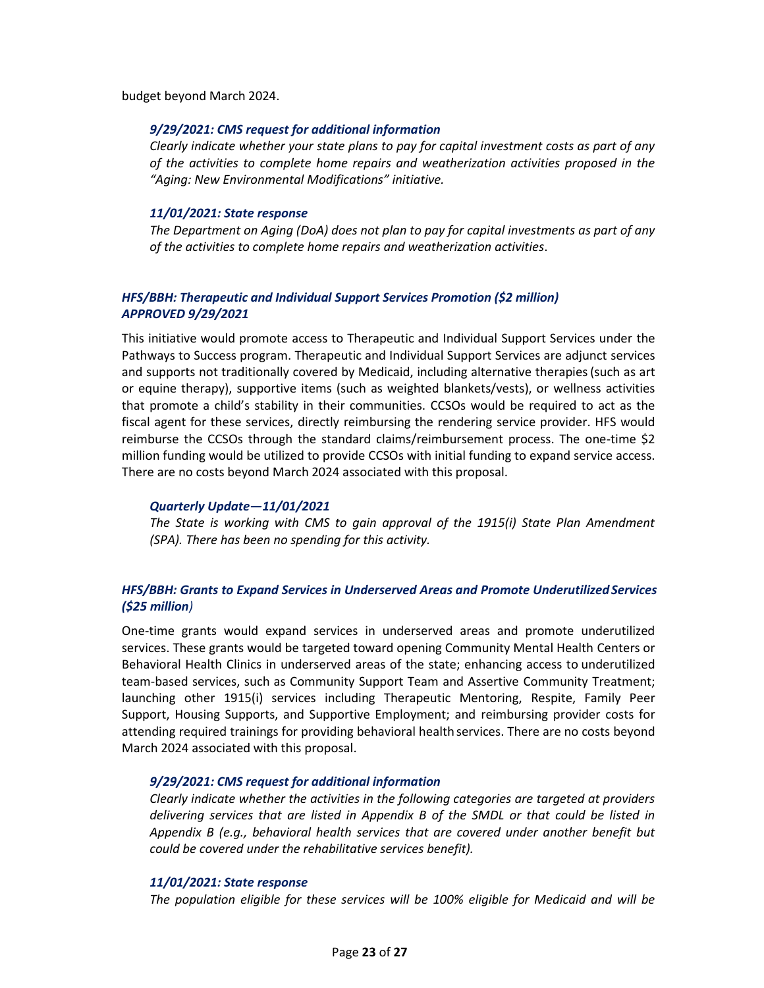budget beyond March 2024.

## *9/29/2021: CMS request for additional information*

*Clearly indicate whether your state plans to pay for capital investment costs as part of any of the activities to complete home repairs and weatherization activities proposed in the "Aging: New Environmental Modifications" initiative.* 

## *11/01/2021: State response*

*The Department on Aging (DoA) does not plan to pay for capital investments as part of any of the activities to complete home repairs and weatherization activities*.

## *HFS/BBH: Therapeutic and Individual Support Services Promotion (\$2 million) APPROVED 9/29/2021*

This initiative would promote access to Therapeutic and Individual Support Services under the Pathways to Success program. Therapeutic and Individual Support Services are adjunct services and supports not traditionally covered by Medicaid, including alternative therapies(such as art or equine therapy), supportive items (such as weighted blankets/vests), or wellness activities that promote a child's stability in their communities. CCSOs would be required to act as the fiscal agent for these services, directly reimbursing the rendering service provider. HFS would reimburse the CCSOs through the standard claims/reimbursement process. The one-time \$2 million funding would be utilized to provide CCSOs with initial funding to expand service access. There are no costs beyond March 2024 associated with this proposal.

## *Quarterly Update—11/01/2021*

*The State is working with CMS to gain approval of the 1915(i) State Plan Amendment (SPA). There has been no spending for this activity.*

## *HFS/BBH: Grants to Expand Services in Underserved Areas and Promote UnderutilizedServices (\$25 million)*

One-time grants would expand services in underserved areas and promote underutilized services. These grants would be targeted toward opening Community Mental Health Centers or Behavioral Health Clinics in underserved areas of the state; enhancing access to underutilized team-based services, such as Community Support Team and Assertive Community Treatment; launching other 1915(i) services including Therapeutic Mentoring, Respite, Family Peer Support, Housing Supports, and Supportive Employment; and reimbursing provider costs for attending required trainings for providing behavioral health services. There are no costs beyond March 2024 associated with this proposal.

## *9/29/2021: CMS request for additional information*

*Clearly indicate whether the activities in the following categories are targeted at providers delivering services that are listed in Appendix B of the SMDL or that could be listed in Appendix B (e.g., behavioral health services that are covered under another benefit but could be covered under the rehabilitative services benefit).*

### *11/01/2021: State response*

*The population eligible for these services will be 100% eligible for Medicaid and will be*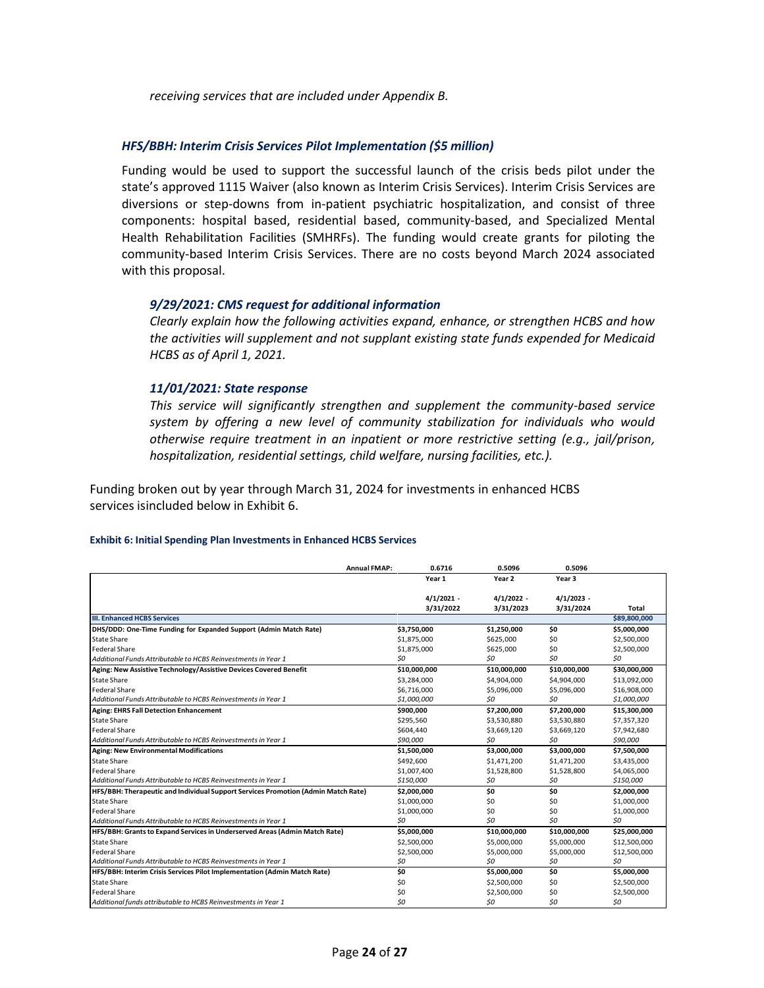*receiving services that are included under Appendix B.*

### *HFS/BBH: Interim Crisis Services Pilot Implementation (\$5 million)*

Funding would be used to support the successful launch of the crisis beds pilot under the state's approved 1115 Waiver (also known as Interim Crisis Services). Interim Crisis Services are diversions or step-downs from in-patient psychiatric hospitalization, and consist of three components: hospital based, residential based, community-based, and Specialized Mental Health Rehabilitation Facilities (SMHRFs). The funding would create grants for piloting the community-based Interim Crisis Services. There are no costs beyond March 2024 associated with this proposal.

## *9/29/2021: CMS request for additional information*

*Clearly explain how the following activities expand, enhance, or strengthen HCBS and how the activities will supplement and not supplant existing state funds expended for Medicaid HCBS as of April 1, 2021.*

## *11/01/2021: State response*

*This service will significantly strengthen and supplement the community-based service system by offering a new level of community stabilization for individuals who would otherwise require treatment in an inpatient or more restrictive setting (e.g., jail/prison, hospitalization, residential settings, child welfare, nursing facilities, etc.).* 

Funding broken out by year through March 31, 2024 for investments in enhanced HCBS services isincluded below in Exhibit 6.

#### **Exhibit 6: Initial Spending Plan Investments in Enhanced HCBS Services**

|                                                                                   | <b>Annual FMAP:</b> | 0.6716       | 0.5096       | 0.5096       |              |
|-----------------------------------------------------------------------------------|---------------------|--------------|--------------|--------------|--------------|
|                                                                                   |                     | Year 1       | Year 2       | Year 3       |              |
|                                                                                   |                     |              |              |              |              |
|                                                                                   |                     | $4/1/2021$ - | $4/1/2022 -$ | $4/1/2023 -$ |              |
|                                                                                   |                     | 3/31/2022    | 3/31/2023    | 3/31/2024    | Total        |
| <b>III. Enhanced HCBS Services</b>                                                |                     |              |              |              | \$89,800,000 |
| DHS/DDD: One-Time Funding for Expanded Support (Admin Match Rate)                 |                     | \$3,750,000  | \$1,250,000  | \$0          | \$5,000,000  |
| <b>State Share</b>                                                                |                     | \$1,875,000  | \$625,000    | \$0          | \$2,500,000  |
| <b>Federal Share</b>                                                              |                     | \$1,875,000  | \$625,000    | \$0          | \$2,500,000  |
| Additional Funds Attributable to HCBS Reinvestments in Year 1                     |                     | \$0          | \$0          | \$0          | \$0          |
| Aging: New Assistive Technology/Assistive Devices Covered Benefit                 |                     | \$10,000,000 | \$10,000,000 | \$10,000,000 | \$30,000,000 |
| <b>State Share</b>                                                                |                     | \$3,284,000  | \$4,904,000  | \$4,904,000  | \$13,092,000 |
| <b>Federal Share</b>                                                              |                     | \$6,716,000  | \$5,096,000  | \$5,096,000  | \$16,908,000 |
| Additional Funds Attributable to HCBS Reinvestments in Year 1                     |                     | \$1,000,000  | \$0          | \$0          | \$1,000,000  |
| <b>Aging: EHRS Fall Detection Enhancement</b>                                     |                     | \$900,000    | \$7,200,000  | \$7,200,000  | \$15,300,000 |
| <b>State Share</b>                                                                |                     | \$295,560    | \$3,530,880  | \$3,530,880  | \$7,357,320  |
| <b>Federal Share</b>                                                              |                     | \$604,440    | \$3,669,120  | \$3,669,120  | \$7,942,680  |
| Additional Funds Attributable to HCBS Reinvestments in Year 1                     |                     | \$90,000     | \$0          | SO           | \$90,000     |
| <b>Aging: New Environmental Modifications</b>                                     |                     | \$1,500,000  | \$3,000,000  | \$3,000,000  | \$7,500,000  |
| <b>State Share</b>                                                                |                     | \$492,600    | \$1,471,200  | \$1,471,200  | \$3,435,000  |
| <b>Federal Share</b>                                                              |                     | \$1,007,400  | \$1,528,800  | \$1,528,800  | \$4,065,000  |
| Additional Funds Attributable to HCBS Reinvestments in Year 1                     |                     | \$150,000    | \$0          | \$0          | \$150,000    |
| HFS/BBH: Therapeutic and Individual Support Services Promotion (Admin Match Rate) |                     | \$2,000,000  | \$O          | \$0          | \$2,000,000  |
| <b>State Share</b>                                                                |                     | \$1,000,000  | \$0          | \$0          | \$1,000,000  |
| Federal Share                                                                     |                     | \$1,000,000  | \$0          | \$0          | \$1,000,000  |
| Additional Funds Attributable to HCBS Reinvestments in Year 1                     |                     | \$0          | \$0          | \$0          | \$0          |
| HFS/BBH: Grants to Expand Services in Underserved Areas (Admin Match Rate)        |                     | \$5,000,000  | \$10,000,000 | \$10,000,000 | \$25,000,000 |
| <b>State Share</b>                                                                |                     | \$2,500,000  | \$5,000,000  | \$5,000,000  | \$12,500,000 |
| <b>Federal Share</b>                                                              |                     | \$2,500,000  | \$5,000,000  | \$5,000,000  | \$12,500,000 |
| Additional Funds Attributable to HCBS Reinvestments in Year 1                     |                     | \$0          | \$0          | \$0          | \$0          |
| HFS/BBH: Interim Crisis Services Pilot Implementation (Admin Match Rate)          |                     | \$0          | \$5,000,000  | \$0          | \$5,000,000  |
| <b>State Share</b>                                                                |                     | \$0          | \$2,500,000  | \$0          | \$2,500,000  |
| <b>Federal Share</b>                                                              |                     | \$0          | \$2,500,000  | \$0          | \$2,500,000  |
| Additional funds attributable to HCBS Reinvestments in Year 1                     |                     | \$0          | \$0          | \$0          | \$0          |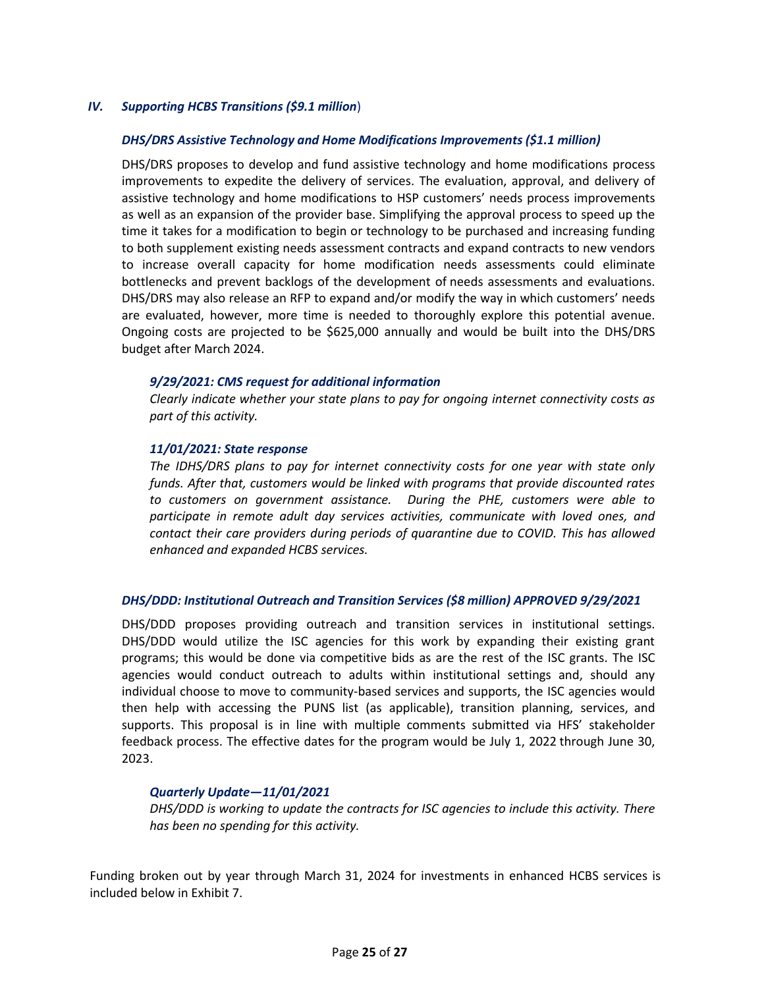## *IV. Supporting HCBS Transitions (\$9.1 million*)

### *DHS/DRS Assistive Technology and Home Modifications Improvements (\$1.1 million)*

DHS/DRS proposes to develop and fund assistive technology and home modifications process improvements to expedite the delivery of services. The evaluation, approval, and delivery of assistive technology and home modifications to HSP customers' needs process improvements as well as an expansion of the provider base. Simplifying the approval process to speed up the time it takes for a modification to begin or technology to be purchased and increasing funding to both supplement existing needs assessment contracts and expand contracts to new vendors to increase overall capacity for home modification needs assessments could eliminate bottlenecks and prevent backlogs of the development of needs assessments and evaluations. DHS/DRS may also release an RFP to expand and/or modify the way in which customers' needs are evaluated, however, more time is needed to thoroughly explore this potential avenue. Ongoing costs are projected to be \$625,000 annually and would be built into the DHS/DRS budget after March 2024.

#### *9/29/2021: CMS request for additional information*

*Clearly indicate whether your state plans to pay for ongoing internet connectivity costs as part of this activity.*

#### *11/01/2021: State response*

*The IDHS/DRS plans to pay for internet connectivity costs for one year with state only funds. After that, customers would be linked with programs that provide discounted rates to customers on government assistance. During the PHE, customers were able to participate in remote adult day services activities, communicate with loved ones, and contact their care providers during periods of quarantine due to COVID. This has allowed enhanced and expanded HCBS services.*

### *DHS/DDD: Institutional Outreach and Transition Services (\$8 million) APPROVED 9/29/2021*

DHS/DDD proposes providing outreach and transition services in institutional settings. DHS/DDD would utilize the ISC agencies for this work by expanding their existing grant programs; this would be done via competitive bids as are the rest of the ISC grants. The ISC agencies would conduct outreach to adults within institutional settings and, should any individual choose to move to community-based services and supports, the ISC agencies would then help with accessing the PUNS list (as applicable), transition planning, services, and supports. This proposal is in line with multiple comments submitted via HFS' stakeholder feedback process. The effective dates for the program would be July 1, 2022 through June 30, 2023.

### *Quarterly Update—11/01/2021*

*DHS/DDD is working to update the contracts for ISC agencies to include this activity. There has been no spending for this activity.*

Funding broken out by year through March 31, 2024 for investments in enhanced HCBS services is included below in Exhibit 7.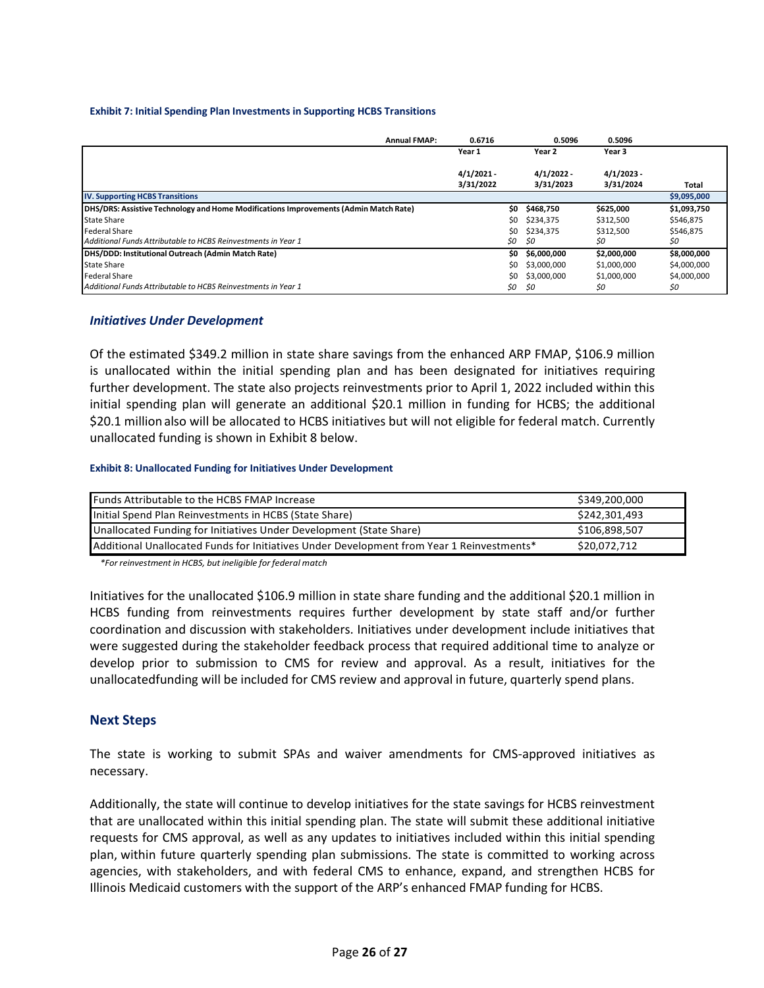#### **Exhibit 7: Initial Spending Plan Investments in Supporting HCBS Transitions**

| <b>Annual FMAP:</b>                                                                  | 0.6716                    | 0.5096                    | 0.5096                    |             |
|--------------------------------------------------------------------------------------|---------------------------|---------------------------|---------------------------|-------------|
|                                                                                      | Year 1                    | Year 2                    | Year 3                    |             |
|                                                                                      | $4/1/2021 -$<br>3/31/2022 | $4/1/2022 -$<br>3/31/2023 | $4/1/2023$ -<br>3/31/2024 | Total       |
| <b>IV. Supporting HCBS Transitions</b>                                               |                           |                           |                           | \$9,095,000 |
| DHS/DRS: Assistive Technology and Home Modifications Improvements (Admin Match Rate) | SO.                       | \$468.750                 | \$625,000                 | \$1,093,750 |
| State Share                                                                          | \$0                       | \$234.375                 | \$312,500                 | \$546,875   |
| <b>Federal Share</b>                                                                 | \$0                       | \$234,375                 | \$312,500                 | \$546,875   |
| Additional Funds Attributable to HCBS Reinvestments in Year 1                        | \$0                       | -SO                       | \$0                       | \$0         |
| DHS/DDD: Institutional Outreach (Admin Match Rate)                                   | SO.                       | \$6,000,000               | \$2,000,000               | \$8,000,000 |
| State Share                                                                          | \$0                       | \$3,000,000               | \$1,000,000               | \$4,000,000 |
| <b>Federal Share</b>                                                                 | \$0                       | \$3,000,000               | \$1,000,000               | \$4,000,000 |
| Additional Funds Attributable to HCBS Reinvestments in Year 1                        | \$0                       | \$0                       | \$0                       | \$0         |

#### *Initiatives Under Development*

Of the estimated \$349.2 million in state share savings from the enhanced ARP FMAP, \$106.9 million is unallocated within the initial spending plan and has been designated for initiatives requiring further development. The state also projects reinvestments prior to April 1, 2022 included within this initial spending plan will generate an additional \$20.1 million in funding for HCBS; the additional \$20.1 millionalso will be allocated to HCBS initiatives but will not eligible for federal match. Currently unallocated funding is shown in Exhibit 8 below.

#### **Exhibit 8: Unallocated Funding for Initiatives Under Development**

| <b>Funds Attributable to the HCBS FMAP Increase</b>                                       | \$349,200,000 |
|-------------------------------------------------------------------------------------------|---------------|
| Initial Spend Plan Reinvestments in HCBS (State Share)                                    | \$242,301,493 |
| Unallocated Funding for Initiatives Under Development (State Share)                       | \$106,898,507 |
| Additional Unallocated Funds for Initiatives Under Development from Year 1 Reinvestments* | \$20,072,712  |

*\*For reinvestment in HCBS, but ineligible for federal match*

Initiatives for the unallocated \$106.9 million in state share funding and the additional \$20.1 million in HCBS funding from reinvestments requires further development by state staff and/or further coordination and discussion with stakeholders. Initiatives under development include initiatives that were suggested during the stakeholder feedback process that required additional time to analyze or develop prior to submission to CMS for review and approval. As a result, initiatives for the unallocatedfunding will be included for CMS review and approval in future, quarterly spend plans.

### **Next Steps**

The state is working to submit SPAs and waiver amendments for CMS-approved initiatives as necessary.

Additionally, the state will continue to develop initiatives for the state savings for HCBS reinvestment that are unallocated within this initial spending plan. The state will submit these additional initiative requests for CMS approval, as well as any updates to initiatives included within this initial spending plan, within future quarterly spending plan submissions. The state is committed to working across agencies, with stakeholders, and with federal CMS to enhance, expand, and strengthen HCBS for Illinois Medicaid customers with the support of the ARP's enhanced FMAP funding for HCBS.